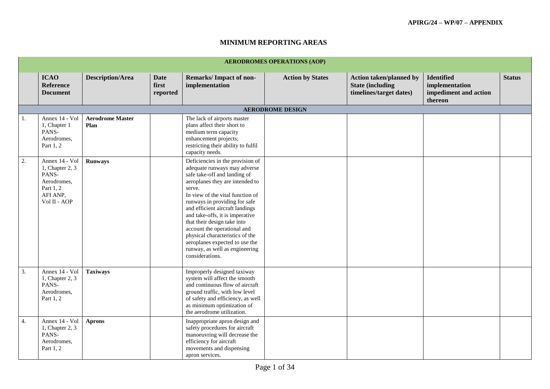|                  | <b>AERODROMES OPERATIONS (AOP)</b>                                                                 |                                 |                                  |                                                                                                                                                                                                                                                                                                                                                                                                                                                                                  |                         |                                                                                       |                                                                         |               |  |  |  |
|------------------|----------------------------------------------------------------------------------------------------|---------------------------------|----------------------------------|----------------------------------------------------------------------------------------------------------------------------------------------------------------------------------------------------------------------------------------------------------------------------------------------------------------------------------------------------------------------------------------------------------------------------------------------------------------------------------|-------------------------|---------------------------------------------------------------------------------------|-------------------------------------------------------------------------|---------------|--|--|--|
|                  | <b>ICAO</b><br>Reference<br><b>Document</b>                                                        | <b>Description/Area</b>         | <b>Date</b><br>first<br>reported | Remarks/Impact of non-<br>implementation                                                                                                                                                                                                                                                                                                                                                                                                                                         | <b>Action by States</b> | <b>Action taken/planned by</b><br><b>State (including)</b><br>timelines/target dates) | <b>Identified</b><br>implementation<br>impediment and action<br>thereon | <b>Status</b> |  |  |  |
|                  |                                                                                                    |                                 |                                  |                                                                                                                                                                                                                                                                                                                                                                                                                                                                                  | <b>AERODROME DESIGN</b> |                                                                                       |                                                                         |               |  |  |  |
| 1.               | Annex 14 - Vol<br>1, Chapter 1<br>PANS-<br>Aerodromes,<br>Part 1, 2                                | <b>Aerodrome Master</b><br>Plan |                                  | The lack of airports master<br>plans affect their short to<br>medium term capacity<br>enhancement projects;<br>restricting their ability to fulfil<br>capacity needs.                                                                                                                                                                                                                                                                                                            |                         |                                                                                       |                                                                         |               |  |  |  |
| $\overline{2}$ . | Annex 14 - Vol<br>1, Chapter 2, 3<br>PANS-<br>Aerodromes,<br>Part 1, 2<br>AFI ANP.<br>Vol II - AOP | <b>Runways</b>                  |                                  | Deficiencies in the provision of<br>adequate runways may adverse<br>safe take-off and landing of<br>aeroplanes they are intended to<br>serve.<br>In view of the vital function of<br>runways in providing for safe<br>and efficient aircraft landings<br>and take-offs, it is imperative<br>that their design take into<br>account the operational and<br>physical characteristics of the<br>aeroplanes expected to use the<br>runway, as well as engineering<br>considerations. |                         |                                                                                       |                                                                         |               |  |  |  |
| $\overline{3}$ . | Annex 14 - Vol<br>1, Chapter 2, 3<br>PANS-<br>Aerodromes,<br>Part 1, 2                             | <b>Taxiways</b>                 |                                  | Improperly designed taxiway<br>system will affect the smooth<br>and continuous flow of aircraft<br>ground traffic, with low level<br>of safety and efficiency, as well<br>as minimum optimization of<br>the aerodrome utilization.                                                                                                                                                                                                                                               |                         |                                                                                       |                                                                         |               |  |  |  |
| 4.               | Annex 14 - Vol<br>1, Chapter 2, 3<br>PANS-<br>Aerodromes,<br>Part 1, 2                             | <b>Aprons</b>                   |                                  | Inappropriate apron design and<br>safety procedures for aircraft<br>manoeuvring will decrease the<br>efficiency for aircraft<br>movements and dispensing<br>apron services.                                                                                                                                                                                                                                                                                                      |                         |                                                                                       |                                                                         |               |  |  |  |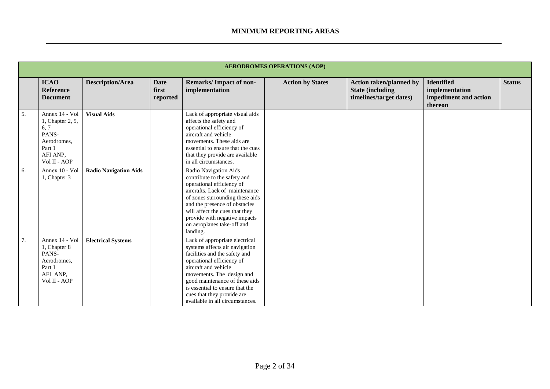|    |                                                                                                          |                              |                                  |                                                                                                                                                                                                                                                                                                                           | <b>AERODROMES OPERATIONS (AOP)</b> |                                                                                       |                                                                         |               |
|----|----------------------------------------------------------------------------------------------------------|------------------------------|----------------------------------|---------------------------------------------------------------------------------------------------------------------------------------------------------------------------------------------------------------------------------------------------------------------------------------------------------------------------|------------------------------------|---------------------------------------------------------------------------------------|-------------------------------------------------------------------------|---------------|
|    | <b>ICAO</b><br>Reference<br><b>Document</b>                                                              | <b>Description/Area</b>      | <b>Date</b><br>first<br>reported | <b>Remarks/Impact of non-</b><br>implementation                                                                                                                                                                                                                                                                           | <b>Action by States</b>            | <b>Action taken/planned by</b><br><b>State (including)</b><br>timelines/target dates) | <b>Identified</b><br>implementation<br>impediment and action<br>thereon | <b>Status</b> |
| 5. | Annex 14 - Vol<br>1, Chapter 2, 5,<br>6, 7<br>PANS-<br>Aerodromes,<br>Part 1<br>AFI ANP,<br>Vol II - AOP | <b>Visual Aids</b>           |                                  | Lack of appropriate visual aids<br>affects the safety and<br>operational efficiency of<br>aircraft and vehicle<br>movements. These aids are<br>essential to ensure that the cues<br>that they provide are available<br>in all circumstances.                                                                              |                                    |                                                                                       |                                                                         |               |
| 6. | Annex 10 - Vol<br>1, Chapter 3                                                                           | <b>Radio Navigation Aids</b> |                                  | Radio Navigation Aids<br>contribute to the safety and<br>operational efficiency of<br>aircrafts. Lack of maintenance<br>of zones surrounding these aids<br>and the presence of obstacles<br>will affect the cues that they<br>provide with negative impacts<br>on aeroplanes take-off and<br>landing.                     |                                    |                                                                                       |                                                                         |               |
| 7. | Annex 14 - Vol<br>1, Chapter 8<br>PANS-<br>Aerodromes,<br>Part 1<br>AFI ANP,<br>Vol II - AOP             | <b>Electrical Systems</b>    |                                  | Lack of appropriate electrical<br>systems affects air navigation<br>facilities and the safety and<br>operational efficiency of<br>aircraft and vehicle<br>movements. The design and<br>good maintenance of these aids<br>is essential to ensure that the<br>cues that they provide are<br>available in all circumstances. |                                    |                                                                                       |                                                                         |               |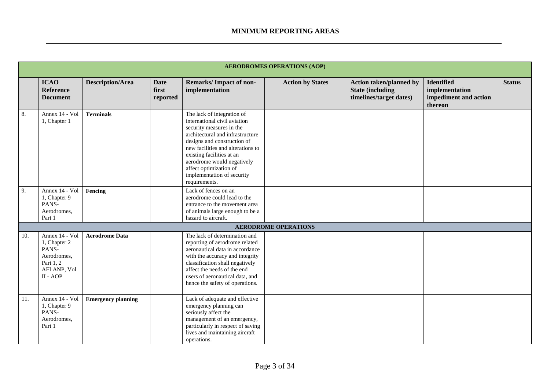|     | <b>AERODROMES OPERATIONS (AOP)</b>                                                              |                           |                                  |                                                                                                                                                                                                                                                                                                                                    |                             |                                                                                       |                                                                         |               |  |  |
|-----|-------------------------------------------------------------------------------------------------|---------------------------|----------------------------------|------------------------------------------------------------------------------------------------------------------------------------------------------------------------------------------------------------------------------------------------------------------------------------------------------------------------------------|-----------------------------|---------------------------------------------------------------------------------------|-------------------------------------------------------------------------|---------------|--|--|
|     | <b>ICAO</b><br>Reference<br><b>Document</b>                                                     | <b>Description/Area</b>   | <b>Date</b><br>first<br>reported | Remarks/Impact of non-<br>implementation                                                                                                                                                                                                                                                                                           | <b>Action by States</b>     | <b>Action taken/planned by</b><br><b>State (including)</b><br>timelines/target dates) | <b>Identified</b><br>implementation<br>impediment and action<br>thereon | <b>Status</b> |  |  |
| 8.  | Annex 14 - Vol<br>1, Chapter 1                                                                  | <b>Terminals</b>          |                                  | The lack of integration of<br>international civil aviation<br>security measures in the<br>architectural and infrastructure<br>designs and construction of<br>new facilities and alterations to<br>existing facilities at an<br>aerodrome would negatively<br>affect optimization of<br>implementation of security<br>requirements. |                             |                                                                                       |                                                                         |               |  |  |
| 9.  | Annex 14 - Vol<br>1, Chapter 9<br>PANS-<br>Aerodromes,<br>Part 1                                | Fencing                   |                                  | Lack of fences on an<br>aerodrome could lead to the<br>entrance to the movement area<br>of animals large enough to be a<br>hazard to aircraft.                                                                                                                                                                                     |                             |                                                                                       |                                                                         |               |  |  |
|     |                                                                                                 |                           |                                  |                                                                                                                                                                                                                                                                                                                                    | <b>AERODROME OPERATIONS</b> |                                                                                       |                                                                         |               |  |  |
| 10. | Annex 14 - Vol<br>1, Chapter 2<br>PANS-<br>Aerodromes,<br>Part 1, 2<br>AFI ANP, Vol<br>II - AOP | <b>Aerodrome Data</b>     |                                  | The lack of determination and<br>reporting of aerodrome related<br>aeronautical data in accordance<br>with the accuracy and integrity<br>classification shall negatively<br>affect the needs of the end<br>users of aeronautical data, and<br>hence the safety of operations.                                                      |                             |                                                                                       |                                                                         |               |  |  |
| 11. | Annex 14 - Vol<br>1, Chapter 9<br>PANS-<br>Aerodromes,<br>Part 1                                | <b>Emergency planning</b> |                                  | Lack of adequate and effective<br>emergency planning can<br>seriously affect the<br>management of an emergency,<br>particularly in respect of saving<br>lives and maintaining aircraft<br>operations.                                                                                                                              |                             |                                                                                       |                                                                         |               |  |  |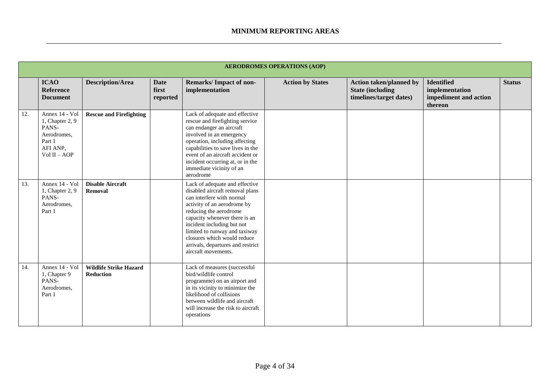|     |                                                                                                 |                                            |                                  |                                                                                                                                                                                                                                                                                                                                                    | <b>AERODROMES OPERATIONS (AOP)</b> |                                                                                      |                                                                         |               |
|-----|-------------------------------------------------------------------------------------------------|--------------------------------------------|----------------------------------|----------------------------------------------------------------------------------------------------------------------------------------------------------------------------------------------------------------------------------------------------------------------------------------------------------------------------------------------------|------------------------------------|--------------------------------------------------------------------------------------|-------------------------------------------------------------------------|---------------|
|     | <b>ICAO</b><br><b>Reference</b><br><b>Document</b>                                              | <b>Description/Area</b>                    | <b>Date</b><br>first<br>reported | <b>Remarks/Impact of non-</b><br>implementation                                                                                                                                                                                                                                                                                                    | <b>Action by States</b>            | <b>Action taken/planned by</b><br><b>State (including</b><br>timelines/target dates) | <b>Identified</b><br>implementation<br>impediment and action<br>thereon | <b>Status</b> |
| 12. | Annex 14 - Vol<br>1, Chapter 2, 9<br>PANS-<br>Aerodromes,<br>Part 1<br>AFI ANP,<br>Vol II - AOP | <b>Rescue and Firefighting</b>             |                                  | Lack of adequate and effective<br>rescue and firefighting service<br>can endanger an aircraft<br>involved in an emergency<br>operation, including affecting<br>capabilities to save lives in the<br>event of an aircraft accident or<br>incident occurring at, or in the<br>immediate vicinity of an<br>aerodrome                                  |                                    |                                                                                      |                                                                         |               |
| 13. | Annex 14 - Vol<br>1, Chapter 2, 9<br>PANS-<br>Aerodromes,<br>Part 1                             | <b>Disable Aircraft</b><br>Removal         |                                  | Lack of adequate and effective<br>disabled aircraft removal plans<br>can interfere with normal<br>activity of an aerodrome by<br>reducing the aerodrome<br>capacity whenever there is an<br>incident including but not<br>limited to runway and taxiway<br>closures which would reduce<br>arrivals, departures and restrict<br>aircraft movements. |                                    |                                                                                      |                                                                         |               |
| 14. | Annex 14 - Vol<br>1, Chapter 9<br>PANS-<br>Aerodromes.<br>Part 1                                | <b>Wildlife Strike Hazard</b><br>Reduction |                                  | Lack of measures (successful<br>bird/wildlife control<br>programme) on an airport and<br>in its vicinity to minimize the<br>likelihood of collisions<br>between wildlife and aircraft<br>will increase the risk to aircraft<br>operations                                                                                                          |                                    |                                                                                      |                                                                         |               |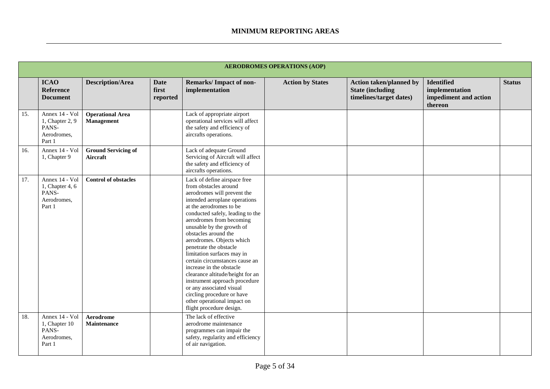|     | <b>AERODROMES OPERATIONS (AOP)</b>                                  |                                        |                                  |                                                                                                                                                                                                                                                                                                                                                                                                                                                                                                                                                                                                                    |                         |                                                                                       |                                                                         |               |  |  |
|-----|---------------------------------------------------------------------|----------------------------------------|----------------------------------|--------------------------------------------------------------------------------------------------------------------------------------------------------------------------------------------------------------------------------------------------------------------------------------------------------------------------------------------------------------------------------------------------------------------------------------------------------------------------------------------------------------------------------------------------------------------------------------------------------------------|-------------------------|---------------------------------------------------------------------------------------|-------------------------------------------------------------------------|---------------|--|--|
|     | <b>ICAO</b><br><b>Reference</b><br><b>Document</b>                  | <b>Description/Area</b>                | <b>Date</b><br>first<br>reported | Remarks/Impact of non-<br>implementation                                                                                                                                                                                                                                                                                                                                                                                                                                                                                                                                                                           | <b>Action by States</b> | <b>Action taken/planned by</b><br><b>State (including)</b><br>timelines/target dates) | <b>Identified</b><br>implementation<br>impediment and action<br>thereon | <b>Status</b> |  |  |
| 15. | Annex 14 - Vol<br>1, Chapter 2, 9<br>PANS-<br>Aerodromes,<br>Part 1 | <b>Operational Area</b><br>Management  |                                  | Lack of appropriate airport<br>operational services will affect<br>the safety and efficiency of<br>aircrafts operations.                                                                                                                                                                                                                                                                                                                                                                                                                                                                                           |                         |                                                                                       |                                                                         |               |  |  |
| 16. | Annex 14 - Vol<br>1, Chapter 9                                      | <b>Ground Servicing of</b><br>Aircraft |                                  | Lack of adequate Ground<br>Servicing of Aircraft will affect<br>the safety and efficiency of<br>aircrafts operations.                                                                                                                                                                                                                                                                                                                                                                                                                                                                                              |                         |                                                                                       |                                                                         |               |  |  |
| 17. | Annex 14 - Vol<br>1, Chapter 4, 6<br>PANS-<br>Aerodromes,<br>Part 1 | <b>Control of obstacles</b>            |                                  | Lack of define airspace free<br>from obstacles around<br>aerodromes will prevent the<br>intended aeroplane operations<br>at the aerodromes to be<br>conducted safely, leading to the<br>aerodromes from becoming<br>unusable by the growth of<br>obstacles around the<br>aerodromes. Objects which<br>penetrate the obstacle<br>limitation surfaces may in<br>certain circumstances cause an<br>increase in the obstacle<br>clearance altitude/height for an<br>instrument approach procedure<br>or any associated visual<br>circling procedure or have<br>other operational impact on<br>flight procedure design. |                         |                                                                                       |                                                                         |               |  |  |
| 18. | Annex 14 - Vol<br>1, Chapter 10<br>PANS-<br>Aerodromes,<br>Part 1   | Aerodrome<br><b>Maintenance</b>        |                                  | The lack of effective<br>aerodrome maintenance<br>programmes can impair the<br>safety, regularity and efficiency<br>of air navigation.                                                                                                                                                                                                                                                                                                                                                                                                                                                                             |                         |                                                                                       |                                                                         |               |  |  |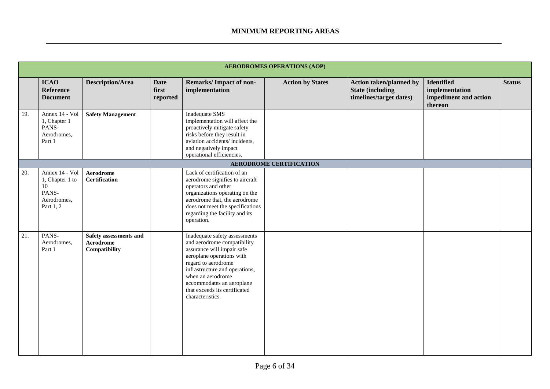|     | <b>AERODROMES OPERATIONS (AOP)</b>                                           |                                                      |                                  |                                                                                                                                                                                                                                                                                         |                                |                                                                                      |                                                                         |               |  |  |
|-----|------------------------------------------------------------------------------|------------------------------------------------------|----------------------------------|-----------------------------------------------------------------------------------------------------------------------------------------------------------------------------------------------------------------------------------------------------------------------------------------|--------------------------------|--------------------------------------------------------------------------------------|-------------------------------------------------------------------------|---------------|--|--|
|     | <b>ICAO</b><br><b>Reference</b><br><b>Document</b>                           | <b>Description/Area</b>                              | <b>Date</b><br>first<br>reported | <b>Remarks/Impact of non-</b><br>implementation                                                                                                                                                                                                                                         | <b>Action by States</b>        | <b>Action taken/planned by</b><br><b>State (including</b><br>timelines/target dates) | <b>Identified</b><br>implementation<br>impediment and action<br>thereon | <b>Status</b> |  |  |
| 19. | Annex 14 - Vol<br>1, Chapter 1<br>PANS-<br>Aerodromes,<br>Part 1             | <b>Safety Management</b>                             |                                  | Inadequate SMS<br>implementation will affect the<br>proactively mitigate safety<br>risks before they result in<br>aviation accidents/incidents,<br>and negatively impact<br>operational efficiencies.                                                                                   |                                |                                                                                      |                                                                         |               |  |  |
|     |                                                                              |                                                      |                                  |                                                                                                                                                                                                                                                                                         | <b>AERODROME CERTIFICATION</b> |                                                                                      |                                                                         |               |  |  |
| 20. | Annex 14 - Vol<br>1, Chapter 1 to<br>10<br>PANS-<br>Aerodromes,<br>Part 1, 2 | <b>Aerodrome</b><br><b>Certification</b>             |                                  | Lack of certification of an<br>aerodrome signifies to aircraft<br>operators and other<br>organizations operating on the<br>aerodrome that, the aerodrome<br>does not meet the specifications<br>regarding the facility and its<br>operation.                                            |                                |                                                                                      |                                                                         |               |  |  |
| 21. | PANS-<br>Aerodromes,<br>Part 1                                               | Safety assessments and<br>Aerodrome<br>Compatibility |                                  | Inadequate safety assessments<br>and aerodrome compatibility<br>assurance will impair safe<br>aeroplane operations with<br>regard to aerodrome<br>infrastructure and operations,<br>when an aerodrome<br>accommodates an aeroplane<br>that exceeds its certificated<br>characteristics. |                                |                                                                                      |                                                                         |               |  |  |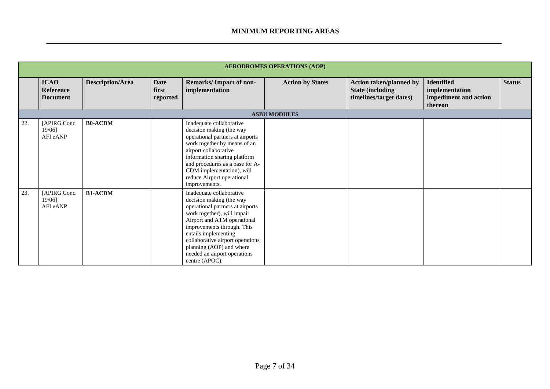|     |                                                    |                         |                                  |                                                                                                                                                                                                                                                                                                                                | <b>AERODROMES OPERATIONS (AOP)</b> |                                                                                       |                                                                         |               |  |  |
|-----|----------------------------------------------------|-------------------------|----------------------------------|--------------------------------------------------------------------------------------------------------------------------------------------------------------------------------------------------------------------------------------------------------------------------------------------------------------------------------|------------------------------------|---------------------------------------------------------------------------------------|-------------------------------------------------------------------------|---------------|--|--|
|     | <b>ICAO</b><br><b>Reference</b><br><b>Document</b> | <b>Description/Area</b> | <b>Date</b><br>first<br>reported | <b>Remarks/Impact of non-</b><br>implementation                                                                                                                                                                                                                                                                                | <b>Action by States</b>            | <b>Action taken/planned by</b><br><b>State (including)</b><br>timelines/target dates) | <b>Identified</b><br>implementation<br>impediment and action<br>thereon | <b>Status</b> |  |  |
|     | <b>ASBU MODULES</b>                                |                         |                                  |                                                                                                                                                                                                                                                                                                                                |                                    |                                                                                       |                                                                         |               |  |  |
| 22. | [APIRG Conc.<br>19/06]<br>AFI eANP                 | <b>B0-ACDM</b>          |                                  | Inadequate collaborative<br>decision making (the way<br>operational partners at airports<br>work together by means of an<br>airport collaborative<br>information sharing platform<br>and procedures as a base for A-<br>CDM implementation), will<br>reduce Airport operational<br>improvements.                               |                                    |                                                                                       |                                                                         |               |  |  |
| 23. | [APIRG Conc.<br>19/06]<br>AFI eANP                 | <b>B1-ACDM</b>          |                                  | Inadequate collaborative<br>decision making (the way<br>operational partners at airports<br>work together), will impair<br>Airport and ATM operational<br>improvements through. This<br>entails implementing<br>collaborative airport operations<br>planning (AOP) and where<br>needed an airport operations<br>centre (APOC). |                                    |                                                                                       |                                                                         |               |  |  |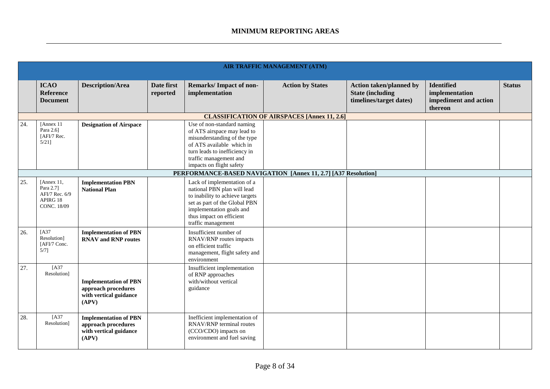|     | <b>AIR TRAFFIC MANAGEMENT (ATM)</b>                                         |                                                                                        |                        |                                                                                                                                                                                                               |                                                    |                                                                                      |                                                                         |               |  |  |
|-----|-----------------------------------------------------------------------------|----------------------------------------------------------------------------------------|------------------------|---------------------------------------------------------------------------------------------------------------------------------------------------------------------------------------------------------------|----------------------------------------------------|--------------------------------------------------------------------------------------|-------------------------------------------------------------------------|---------------|--|--|
|     | <b>ICAO</b><br>Reference<br><b>Document</b>                                 | <b>Description/Area</b>                                                                | Date first<br>reported | Remarks/Impact of non-<br>implementation                                                                                                                                                                      | <b>Action by States</b>                            | <b>Action taken/planned by</b><br><b>State (including</b><br>timelines/target dates) | <b>Identified</b><br>implementation<br>impediment and action<br>thereon | <b>Status</b> |  |  |
|     |                                                                             |                                                                                        |                        |                                                                                                                                                                                                               | <b>CLASSIFICATION OF AIRSPACES [Annex 11, 2.6]</b> |                                                                                      |                                                                         |               |  |  |
| 24. | [Annex 11]<br>Para 2.6]<br>[AFI/7 Rec.<br>$5/21$ ]                          | <b>Designation of Airspace</b>                                                         |                        | Use of non-standard naming<br>of ATS airspace may lead to<br>misunderstanding of the type<br>of ATS available which in<br>turn leads to inefficiency in<br>traffic management and<br>impacts on flight safety |                                                    |                                                                                      |                                                                         |               |  |  |
|     | PERFORMANCE-BASED NAVIGATION [Annex 11, 2.7] [A37 Resolution]               |                                                                                        |                        |                                                                                                                                                                                                               |                                                    |                                                                                      |                                                                         |               |  |  |
| 25. | [Annex 11,<br>Para 2.71<br>AFI/7 Rec. 6/9<br>APIRG 18<br><b>CONC. 18/09</b> | <b>Implementation PBN</b><br><b>National Plan</b>                                      |                        | Lack of implementation of a<br>national PBN plan will lead<br>to inability to achieve targets<br>set as part of the Global PBN<br>implementation goals and<br>thus impact on efficient<br>traffic management  |                                                    |                                                                                      |                                                                         |               |  |  |
| 26. | [A37<br>Resolution]<br>[AFI/7 Conc.<br>$5/7$ ]                              | <b>Implementation of PBN</b><br><b>RNAV</b> and <b>RNP</b> routes                      |                        | Insufficient number of<br>RNAV/RNP routes impacts<br>on efficient traffic<br>management, flight safety and<br>environment                                                                                     |                                                    |                                                                                      |                                                                         |               |  |  |
| 27. | [A37<br>Resolution]                                                         | <b>Implementation of PBN</b><br>approach procedures<br>with vertical guidance<br>(APV) |                        | Insufficient implementation<br>of RNP approaches<br>with/without vertical<br>guidance                                                                                                                         |                                                    |                                                                                      |                                                                         |               |  |  |
| 28. | [A37<br>Resolution]                                                         | <b>Implementation of PBN</b><br>approach procedures<br>with vertical guidance<br>(APV) |                        | Inefficient implementation of<br>RNAV/RNP terminal routes<br>(CCO/CDO) impacts on<br>environment and fuel saving                                                                                              |                                                    |                                                                                      |                                                                         |               |  |  |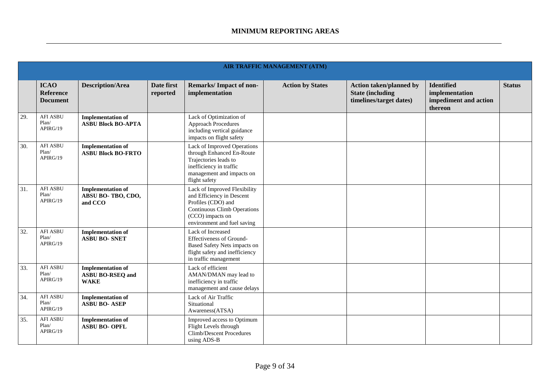|     |                                             |                                                                    |                        |                                                                                                                                                                          | <b>AIR TRAFFIC MANAGEMENT (ATM)</b> |                                                                                      |                                                                         |               |
|-----|---------------------------------------------|--------------------------------------------------------------------|------------------------|--------------------------------------------------------------------------------------------------------------------------------------------------------------------------|-------------------------------------|--------------------------------------------------------------------------------------|-------------------------------------------------------------------------|---------------|
|     | <b>ICAO</b><br>Reference<br><b>Document</b> | <b>Description/Area</b>                                            | Date first<br>reported | Remarks/Impact of non-<br>implementation                                                                                                                                 | <b>Action by States</b>             | <b>Action taken/planned by</b><br><b>State (including</b><br>timelines/target dates) | <b>Identified</b><br>implementation<br>impediment and action<br>thereon | <b>Status</b> |
| 29. | <b>AFI ASBU</b><br>Plan/<br>APIRG/19        | <b>Implementation of</b><br><b>ASBU Block BO-APTA</b>              |                        | Lack of Optimization of<br><b>Approach Procedures</b><br>including vertical guidance<br>impacts on flight safety                                                         |                                     |                                                                                      |                                                                         |               |
| 30. | <b>AFI ASBU</b><br>Plan/<br>APIRG/19        | <b>Implementation of</b><br><b>ASBU Block BO-FRTO</b>              |                        | Lack of Improved Operations<br>through Enhanced En-Route<br>Trajectories leads to<br>inefficiency in traffic<br>management and impacts on<br>flight safety               |                                     |                                                                                      |                                                                         |               |
| 31. | <b>AFI ASBU</b><br>Plan/<br>APIRG/19        | <b>Implementation of</b><br>ABSU BO-TBO, CDO,<br>and CCO           |                        | Lack of Improved Flexibility<br>and Efficiency in Descent<br>Profiles (CDO) and<br><b>Continuous Climb Operations</b><br>(CCO) impacts on<br>environment and fuel saving |                                     |                                                                                      |                                                                         |               |
| 32. | <b>AFI ASBU</b><br>Plan/<br>APIRG/19        | <b>Implementation of</b><br><b>ASBU BO- SNET</b>                   |                        | Lack of Increased<br>Effectiveness of Ground-<br>Based Safety Nets impacts on<br>flight safety and inefficiency<br>in traffic management                                 |                                     |                                                                                      |                                                                         |               |
| 33. | <b>AFI ASBU</b><br>Plan/<br>APIRG/19        | <b>Implementation of</b><br><b>ASBU BO-RSEQ and</b><br><b>WAKE</b> |                        | Lack of efficient<br>AMAN/DMAN may lead to<br>inefficiency in traffic<br>management and cause delays                                                                     |                                     |                                                                                      |                                                                         |               |
| 34. | <b>AFI ASBU</b><br>Plan/<br>APIRG/19        | <b>Implementation of</b><br><b>ASBU BO- ASEP</b>                   |                        | Lack of Air Traffic<br>Situational<br>Awareness(ATSA)                                                                                                                    |                                     |                                                                                      |                                                                         |               |
| 35. | <b>AFI ASBU</b><br>Plan/<br>APIRG/19        | <b>Implementation of</b><br><b>ASBU BO- OPFL</b>                   |                        | Improved access to Optimum<br>Flight Levels through<br><b>Climb/Descent Procedures</b><br>using ADS-B                                                                    |                                     |                                                                                      |                                                                         |               |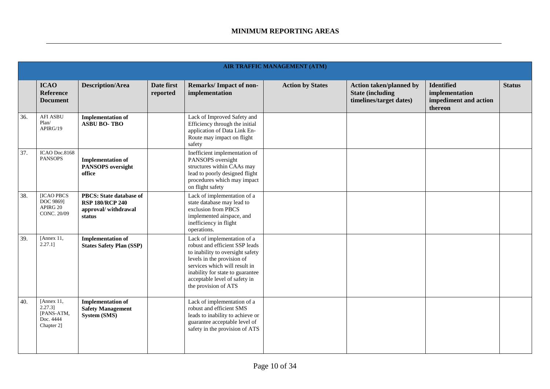|     | <b>AIR TRAFFIC MANAGEMENT (ATM)</b>                               |                                                                                           |                        |                                                                                                                                                                                                                                                               |                         |                                                                                       |                                                                         |               |  |  |
|-----|-------------------------------------------------------------------|-------------------------------------------------------------------------------------------|------------------------|---------------------------------------------------------------------------------------------------------------------------------------------------------------------------------------------------------------------------------------------------------------|-------------------------|---------------------------------------------------------------------------------------|-------------------------------------------------------------------------|---------------|--|--|
|     | <b>ICAO</b><br><b>Reference</b><br><b>Document</b>                | <b>Description/Area</b>                                                                   | Date first<br>reported | <b>Remarks/Impact of non-</b><br>implementation                                                                                                                                                                                                               | <b>Action by States</b> | <b>Action taken/planned by</b><br><b>State (including)</b><br>timelines/target dates) | <b>Identified</b><br>implementation<br>impediment and action<br>thereon | <b>Status</b> |  |  |
| 36. | <b>AFI ASBU</b><br>Plan/<br>APIRG/19                              | <b>Implementation of</b><br><b>ASBU BO-TBO</b>                                            |                        | Lack of Improved Safety and<br>Efficiency through the initial<br>application of Data Link En-<br>Route may impact on flight<br>safety                                                                                                                         |                         |                                                                                       |                                                                         |               |  |  |
| 37. | ICAO Doc.8168<br><b>PANSOPS</b>                                   | <b>Implementation of</b><br><b>PANSOPS</b> oversight<br>office                            |                        | Inefficient implementation of<br>PANSOPS oversight<br>structures within CAAs may<br>lead to poorly designed flight<br>procedures which may impact<br>on flight safety                                                                                         |                         |                                                                                       |                                                                         |               |  |  |
| 38. | <b>ICAO PBCS</b><br>DOC 9869]<br>APIRG 20<br>CONC. 20/09          | <b>PBCS: State database of</b><br><b>RSP 180/RCP 240</b><br>approval/withdrawal<br>status |                        | Lack of implementation of a<br>state database may lead to<br>exclusion from PBCS<br>implemented airspace, and<br>inefficiency in flight<br>operations.                                                                                                        |                         |                                                                                       |                                                                         |               |  |  |
| 39. | [Annex 11,<br>$2.27.1$ ]                                          | <b>Implementation of</b><br><b>States Safety Plan (SSP)</b>                               |                        | Lack of implementation of a<br>robust and efficient SSP leads<br>to inability to oversight safety<br>levels in the provision of<br>services which will result in<br>inability for state to guarantee<br>acceptable level of safety in<br>the provision of ATS |                         |                                                                                       |                                                                         |               |  |  |
| 40. | [Annex 11,<br>$2.27.3$ ]<br>[PANS-ATM,<br>Doc. 4444<br>Chapter 2] | <b>Implementation of</b><br><b>Safety Management</b><br>System (SMS)                      |                        | Lack of implementation of a<br>robust and efficient SMS<br>leads to inability to achieve or<br>guarantee acceptable level of<br>safety in the provision of ATS                                                                                                |                         |                                                                                       |                                                                         |               |  |  |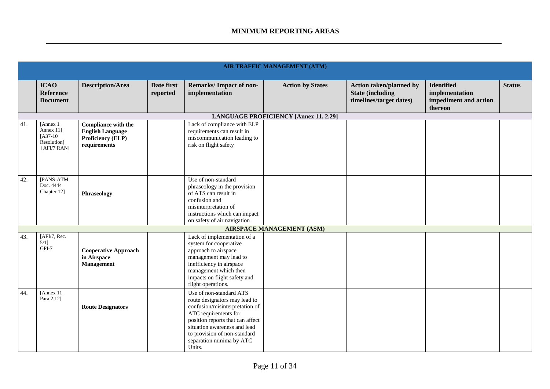|     | AIR TRAFFIC MANAGEMENT (ATM)                                       |                                                                                            |                        |                                                                                                                                                                                                                                                              |                                              |                                                                                       |                                                                         |               |  |
|-----|--------------------------------------------------------------------|--------------------------------------------------------------------------------------------|------------------------|--------------------------------------------------------------------------------------------------------------------------------------------------------------------------------------------------------------------------------------------------------------|----------------------------------------------|---------------------------------------------------------------------------------------|-------------------------------------------------------------------------|---------------|--|
|     | <b>ICAO</b><br><b>Reference</b><br><b>Document</b>                 | <b>Description/Area</b>                                                                    | Date first<br>reported | Remarks/Impact of non-<br>implementation                                                                                                                                                                                                                     | <b>Action by States</b>                      | <b>Action taken/planned by</b><br><b>State (including)</b><br>timelines/target dates) | <b>Identified</b><br>implementation<br>impediment and action<br>thereon | <b>Status</b> |  |
|     |                                                                    |                                                                                            |                        |                                                                                                                                                                                                                                                              | <b>LANGUAGE PROFICIENCY [Annex 11, 2.29]</b> |                                                                                       |                                                                         |               |  |
| 41. | [Annex 1]<br>Annex 11]<br>$[A37-10]$<br>Resolution]<br>[AFI/7 RAN] | <b>Compliance with the</b><br><b>English Language</b><br>Proficiency (ELP)<br>requirements |                        | Lack of compliance with ELP<br>requirements can result in<br>miscommunication leading to<br>risk on flight safety                                                                                                                                            |                                              |                                                                                       |                                                                         |               |  |
| 42. | [PANS-ATM<br>Doc. 4444<br>Chapter 12]                              | <b>Phraseology</b>                                                                         |                        | Use of non-standard<br>phraseology in the provision<br>of ATS can result in<br>confusion and<br>misinterpretation of<br>instructions which can impact<br>on safety of air navigation                                                                         |                                              |                                                                                       |                                                                         |               |  |
|     |                                                                    |                                                                                            |                        |                                                                                                                                                                                                                                                              | <b>AIRSPACE MANAGEMENT (ASM)</b>             |                                                                                       |                                                                         |               |  |
| 43. | [AFI/7, Rec.<br>$5/1$ ]<br>GPI-7                                   | <b>Cooperative Approach</b><br>in Airspace<br><b>Management</b>                            |                        | Lack of implementation of a<br>system for cooperative<br>approach to airspace<br>management may lead to<br>inefficiency in airspace<br>management which then<br>impacts on flight safety and<br>flight operations.                                           |                                              |                                                                                       |                                                                         |               |  |
| 44. | [Annex 11]<br>Para 2.12]                                           | <b>Route Designators</b>                                                                   |                        | Use of non-standard ATS<br>route designators may lead to<br>confusion/misinterpretation of<br>ATC requirements for<br>position reports that can affect<br>situation awareness and lead<br>to provision of non-standard<br>separation minima by ATC<br>Units. |                                              |                                                                                       |                                                                         |               |  |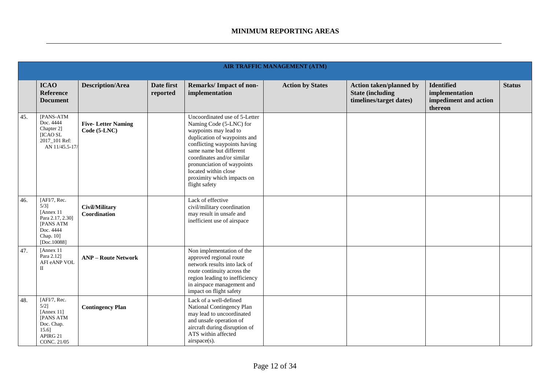|     |                                                                                                                        |                                           |                        |                                                                                                                                                                                                                                                                                                                 | <b>AIR TRAFFIC MANAGEMENT (ATM)</b> |                                                                                      |                                                                         |               |
|-----|------------------------------------------------------------------------------------------------------------------------|-------------------------------------------|------------------------|-----------------------------------------------------------------------------------------------------------------------------------------------------------------------------------------------------------------------------------------------------------------------------------------------------------------|-------------------------------------|--------------------------------------------------------------------------------------|-------------------------------------------------------------------------|---------------|
|     | <b>ICAO</b><br><b>Reference</b><br><b>Document</b>                                                                     | <b>Description/Area</b>                   | Date first<br>reported | Remarks/Impact of non-<br>implementation                                                                                                                                                                                                                                                                        | <b>Action by States</b>             | <b>Action taken/planned by</b><br><b>State (including</b><br>timelines/target dates) | <b>Identified</b><br>implementation<br>impediment and action<br>thereon | <b>Status</b> |
| 45. | [PANS-ATM<br>Doc. 4444<br>Chapter 2]<br>[ICAO SL<br>2017_101 Ref:<br>AN 11/45.5-17/                                    | <b>Five-Letter Naming</b><br>Code (5-LNC) |                        | Uncoordinated use of 5-Letter<br>Naming Code (5-LNC) for<br>waypoints may lead to<br>duplication of waypoints and<br>conflicting waypoints having<br>same name but different<br>coordinates and/or similar<br>pronunciation of waypoints<br>located within close<br>proximity which impacts on<br>flight safety |                                     |                                                                                      |                                                                         |               |
| 46. | [AFI/7, Rec.<br>$5/3$ ]<br>[Annex 11]<br>Para 2.17, 2.30]<br><b>[PANS ATM</b><br>Doc. 4444<br>Chap. 10]<br>[Doc.10088] | Civil/Military<br>Coordination            |                        | Lack of effective<br>civil/military coordination<br>may result in unsafe and<br>inefficient use of airspace                                                                                                                                                                                                     |                                     |                                                                                      |                                                                         |               |
| 47. | [Annex 11]<br>Para 2.12]<br>AFI eANP VOL<br>П                                                                          | <b>ANP - Route Network</b>                |                        | Non implementation of the<br>approved regional route<br>network results into lack of<br>route continuity across the<br>region leading to inefficiency<br>in airspace management and<br>impact on flight safety                                                                                                  |                                     |                                                                                      |                                                                         |               |
| 48. | [AFI/7, Rec.<br>$5/2$ ]<br>[Annex 11]<br><b>[PANS ATM</b><br>Doc. Chap.<br>15.6]<br>APIRG 21<br>CONC. 21/05            | <b>Contingency Plan</b>                   |                        | Lack of a well-defined<br>National Contingency Plan<br>may lead to uncoordinated<br>and unsafe operation of<br>aircraft during disruption of<br>ATS within affected<br>airspace(s).                                                                                                                             |                                     |                                                                                      |                                                                         |               |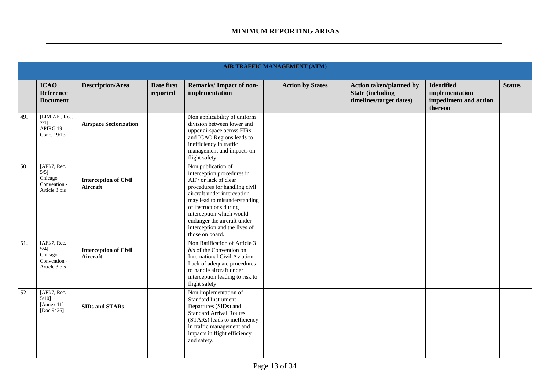|     |                                                                     |                                          |                        |                                                                                                                                                                                                                                                                                                                    | <b>AIR TRAFFIC MANAGEMENT (ATM)</b> |                                                                                      |                                                                         |               |
|-----|---------------------------------------------------------------------|------------------------------------------|------------------------|--------------------------------------------------------------------------------------------------------------------------------------------------------------------------------------------------------------------------------------------------------------------------------------------------------------------|-------------------------------------|--------------------------------------------------------------------------------------|-------------------------------------------------------------------------|---------------|
|     | <b>ICAO</b><br><b>Reference</b><br><b>Document</b>                  | <b>Description/Area</b>                  | Date first<br>reported | Remarks/Impact of non-<br>implementation                                                                                                                                                                                                                                                                           | <b>Action by States</b>             | <b>Action taken/planned by</b><br><b>State (including</b><br>timelines/target dates) | <b>Identified</b><br>implementation<br>impediment and action<br>thereon | <b>Status</b> |
| 49. | [LIM AFI, Rec.<br>$2/1$ ]<br>APIRG 19<br>Conc. 19/13                | <b>Airspace Sectorization</b>            |                        | Non applicability of uniform<br>division between lower and<br>upper airspace across FIRs<br>and ICAO Regions leads to<br>inefficiency in traffic<br>management and impacts on<br>flight safety                                                                                                                     |                                     |                                                                                      |                                                                         |               |
| 50. | [AFI/7, Rec.<br>$5/5$ ]<br>Chicago<br>Convention -<br>Article 3 bis | <b>Interception of Civil</b><br>Aircraft |                        | Non publication of<br>interception procedures in<br>AIP/ or lack of clear<br>procedures for handling civil<br>aircraft under interception<br>may lead to misunderstanding<br>of instructions during<br>interception which would<br>endanger the aircraft under<br>interception and the lives of<br>those on board. |                                     |                                                                                      |                                                                         |               |
| 51. | [AFI/7, Rec.<br>$5/4$ ]<br>Chicago<br>Convention -<br>Article 3 bis | <b>Interception of Civil</b><br>Aircraft |                        | Non Ratification of Article 3<br>bis of the Convention on<br>International Civil Aviation.<br>Lack of adequate procedures<br>to handle aircraft under<br>interception leading to risk to<br>flight safety                                                                                                          |                                     |                                                                                      |                                                                         |               |
| 52. | [AFI/7, Rec.<br>$5/10$ ]<br>[Annex $11$ ]<br>[Doc 9426]             | <b>SIDs and STARs</b>                    |                        | Non implementation of<br>Standard Instrument<br>Departures (SIDs) and<br><b>Standard Arrival Routes</b><br>(STARs) leads to inefficiency<br>in traffic management and<br>impacts in flight efficiency<br>and safety.                                                                                               |                                     |                                                                                      |                                                                         |               |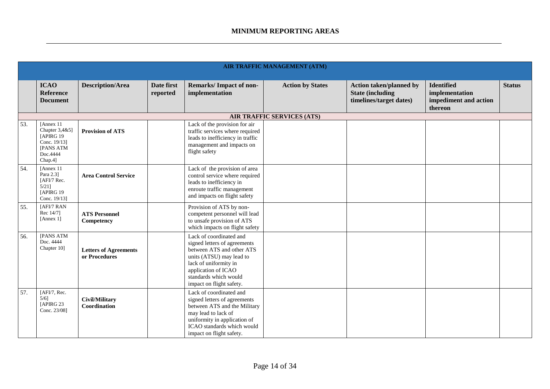|     |                                                                                              |                                               |                        |                                                                                                                                                                                                                       | AIR TRAFFIC MANAGEMENT (ATM)      |                                                                                      |                                                                         |               |
|-----|----------------------------------------------------------------------------------------------|-----------------------------------------------|------------------------|-----------------------------------------------------------------------------------------------------------------------------------------------------------------------------------------------------------------------|-----------------------------------|--------------------------------------------------------------------------------------|-------------------------------------------------------------------------|---------------|
|     | <b>ICAO</b><br><b>Reference</b><br><b>Document</b>                                           | <b>Description/Area</b>                       | Date first<br>reported | <b>Remarks/Impact of non-</b><br>implementation                                                                                                                                                                       | <b>Action by States</b>           | <b>Action taken/planned by</b><br><b>State (including</b><br>timelines/target dates) | <b>Identified</b><br>implementation<br>impediment and action<br>thereon | <b>Status</b> |
|     |                                                                                              |                                               |                        |                                                                                                                                                                                                                       | <b>AIR TRAFFIC SERVICES (ATS)</b> |                                                                                      |                                                                         |               |
| 53. | [Annex 11<br>Chapter 3,4&5]<br>[APIRG 19<br>Conc. 19/13]<br>[PANS ATM<br>Doc.4444<br>Chap.4] | <b>Provision of ATS</b>                       |                        | Lack of the provision for air<br>traffic services where required<br>leads to inefficiency in traffic<br>management and impacts on<br>flight safety                                                                    |                                   |                                                                                      |                                                                         |               |
| 54. | [Annex 11<br>Para 2.3]<br>[AFI/7 Rec.<br>$5/21$ ]<br>[APIRG 19]<br>Conc. 19/13]              | <b>Area Control Service</b>                   |                        | Lack of the provision of area<br>control service where required<br>leads to inefficiency in<br>enroute traffic management<br>and impacts on flight safety                                                             |                                   |                                                                                      |                                                                         |               |
| 55. | [AFI/7 RAN<br>Rec 14/7]<br>[Annex 1]                                                         | <b>ATS Personnel</b><br>Competency            |                        | Provision of ATS by non-<br>competent personnel will lead<br>to unsafe provision of ATS<br>which impacts on flight safety                                                                                             |                                   |                                                                                      |                                                                         |               |
| 56. | [PANS ATM<br>Doc. 4444<br>Chapter 10]                                                        | <b>Letters of Agreements</b><br>or Procedures |                        | Lack of coordinated and<br>signed letters of agreements<br>between ATS and other ATS<br>units (ATSU) may lead to<br>lack of uniformity in<br>application of ICAO<br>standards which would<br>impact on flight safety. |                                   |                                                                                      |                                                                         |               |
| 57. | [AFI/7, Rec.<br>$5/6$ ]<br>[APIRG 23<br>Conc. 23/08]                                         | <b>Civil/Military</b><br>Coordination         |                        | Lack of coordinated and<br>signed letters of agreements<br>between ATS and the Military<br>may lead to lack of<br>uniformity in application of<br>ICAO standards which would<br>impact on flight safety.              |                                   |                                                                                      |                                                                         |               |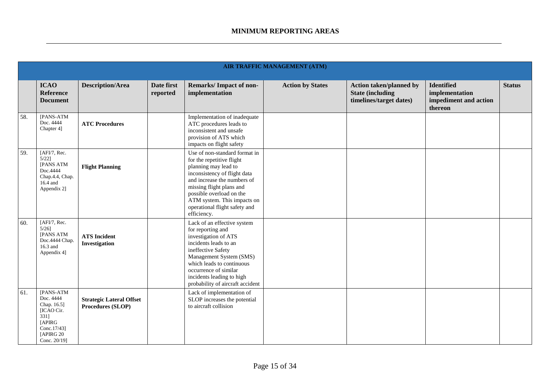|     | <b>AIR TRAFFIC MANAGEMENT (ATM)</b>                                                                                |                                                      |                        |                                                                                                                                                                                                                                                                                          |                         |                                                                                      |                                                                  |               |  |  |  |
|-----|--------------------------------------------------------------------------------------------------------------------|------------------------------------------------------|------------------------|------------------------------------------------------------------------------------------------------------------------------------------------------------------------------------------------------------------------------------------------------------------------------------------|-------------------------|--------------------------------------------------------------------------------------|------------------------------------------------------------------|---------------|--|--|--|
|     | <b>ICAO</b><br><b>Reference</b><br><b>Document</b>                                                                 | <b>Description/Area</b>                              | Date first<br>reported | <b>Remarks/Impact of non-</b><br>implementation                                                                                                                                                                                                                                          | <b>Action by States</b> | <b>Action taken/planned by</b><br><b>State (including</b><br>timelines/target dates) | Identified<br>implementation<br>impediment and action<br>thereon | <b>Status</b> |  |  |  |
| 58. | [PANS-ATM<br>Doc. 4444<br>Chapter 4]                                                                               | <b>ATC Procedures</b>                                |                        | Implementation of inadequate<br>ATC procedures leads to<br>inconsistent and unsafe<br>provision of ATS which<br>impacts on flight safety                                                                                                                                                 |                         |                                                                                      |                                                                  |               |  |  |  |
| 59. | [AFI/7, Rec.<br>$5/22$ ]<br><b>[PANS ATM</b><br>Doc.4444<br>Chap.4.4, Chap.<br>16.4 and<br>Appendix 2]             | <b>Flight Planning</b>                               |                        | Use of non-standard format in<br>for the repetitive flight<br>planning may lead to<br>inconsistency of flight data<br>and increase the numbers of<br>missing flight plans and<br>possible overload on the<br>ATM system. This impacts on<br>operational flight safety and<br>efficiency. |                         |                                                                                      |                                                                  |               |  |  |  |
| 60. | [AFI/7, Rec.<br>$5/26$ ]<br>[PANS ATM<br>Doc.4444 Chap.<br>16.3 and<br>Appendix 4]                                 | <b>ATS</b> Incident<br><b>Investigation</b>          |                        | Lack of an effective system<br>for reporting and<br>investigation of ATS<br>incidents leads to an<br>ineffective Safety<br>Management System (SMS)<br>which leads to continuous<br>occurrence of similar<br>incidents leading to high<br>probability of aircraft accident                |                         |                                                                                      |                                                                  |               |  |  |  |
| 61. | [PANS-ATM<br>Doc. 4444<br>Chap. 16.5]<br>[ICAO Cir.<br>331]<br>[APIRG<br>Conc.17/43]<br>[APIRG 20]<br>Conc. 20/19] | <b>Strategic Lateral Offset</b><br>Procedures (SLOP) |                        | Lack of implementation of<br>SLOP increases the potential<br>to aircraft collision                                                                                                                                                                                                       |                         |                                                                                      |                                                                  |               |  |  |  |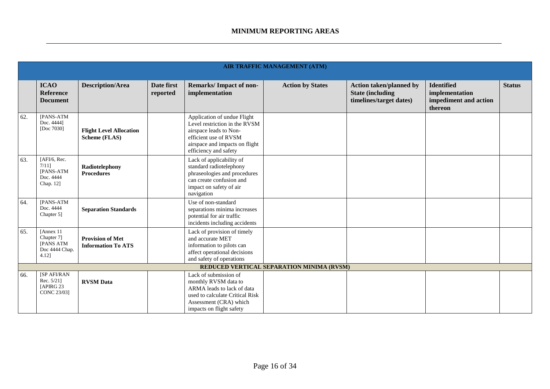|     |                                                                 |                                                      |                        |                                                                                                                                                                            | <b>AIR TRAFFIC MANAGEMENT (ATM)</b>       |                                                                                       |                                                                         |               |
|-----|-----------------------------------------------------------------|------------------------------------------------------|------------------------|----------------------------------------------------------------------------------------------------------------------------------------------------------------------------|-------------------------------------------|---------------------------------------------------------------------------------------|-------------------------------------------------------------------------|---------------|
|     | <b>ICAO</b><br><b>Reference</b><br><b>Document</b>              | <b>Description/Area</b>                              | Date first<br>reported | <b>Remarks/Impact of non-</b><br>implementation                                                                                                                            | <b>Action by States</b>                   | <b>Action taken/planned by</b><br><b>State (including)</b><br>timelines/target dates) | <b>Identified</b><br>implementation<br>impediment and action<br>thereon | <b>Status</b> |
| 62. | [PANS-ATM<br>Doc. 4444]<br>[Doc 7030]                           | <b>Flight Level Allocation</b><br>Scheme (FLAS)      |                        | Application of undue Flight<br>Level restriction in the RVSM<br>airspace leads to Non-<br>efficient use of RVSM<br>airspace and impacts on flight<br>efficiency and safety |                                           |                                                                                       |                                                                         |               |
| 63. | [AFI/6, Rec.<br>7/111<br>[PANS-ATM<br>Doc. 4444<br>Chap. 12]    | Radiotelephony<br><b>Procedures</b>                  |                        | Lack of applicability of<br>standard radiotelephony<br>phraseologies and procedures<br>can create confusion and<br>impact on safety of air<br>navigation                   |                                           |                                                                                       |                                                                         |               |
| 64. | [PANS-ATM<br>Doc. 4444<br>Chapter 5]                            | <b>Separation Standards</b>                          |                        | Use of non-standard<br>separations minima increases<br>potential for air traffic<br>incidents including accidents                                                          |                                           |                                                                                       |                                                                         |               |
| 65. | [Annex 11<br>Chapter 7]<br>[PANS ATM<br>Doc 4444 Chap.<br>4.12] | <b>Provision of Met</b><br><b>Information To ATS</b> |                        | Lack of provision of timely<br>and accurate MET<br>information to pilots can<br>affect operational decisions<br>and safety of operations                                   |                                           |                                                                                       |                                                                         |               |
|     |                                                                 |                                                      |                        |                                                                                                                                                                            | REDUCED VERTICAL SEPARATION MINIMA (RVSM) |                                                                                       |                                                                         |               |
| 66. | [SP AFI/RAN<br>Rec. $5/21$ ]<br>[APIRG 23<br>CONC 23/03]        | <b>RVSM</b> Data                                     |                        | Lack of submission of<br>monthly RVSM data to<br>ARMA leads to lack of data<br>used to calculate Critical Risk<br>Assessment (CRA) which<br>impacts on flight safety       |                                           |                                                                                       |                                                                         |               |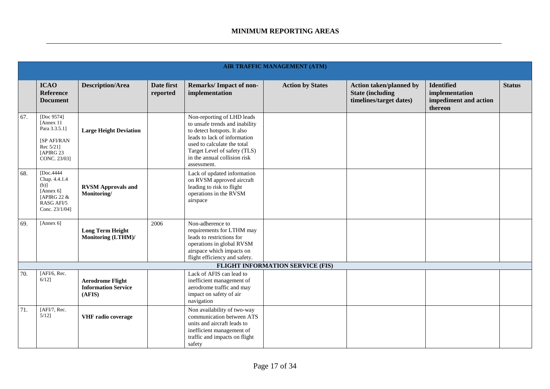|     |                                                                                                       |                                                                 |                        |                                                                                                                                                                                                                                           | <b>AIR TRAFFIC MANAGEMENT (ATM)</b>     |                                                                                       |                                                                         |               |
|-----|-------------------------------------------------------------------------------------------------------|-----------------------------------------------------------------|------------------------|-------------------------------------------------------------------------------------------------------------------------------------------------------------------------------------------------------------------------------------------|-----------------------------------------|---------------------------------------------------------------------------------------|-------------------------------------------------------------------------|---------------|
|     | <b>ICAO</b><br><b>Reference</b><br><b>Document</b>                                                    | <b>Description/Area</b>                                         | Date first<br>reported | Remarks/Impact of non-<br>implementation                                                                                                                                                                                                  | <b>Action by States</b>                 | <b>Action taken/planned by</b><br><b>State (including)</b><br>timelines/target dates) | <b>Identified</b><br>implementation<br>impediment and action<br>thereon | <b>Status</b> |
| 67. | [Doc 9574]<br>[Annex 11<br>Para 3.3.5.1]<br>[SP AFI/RAN<br>Rec 5/211<br>[APIRG 23<br>CONC. 23/03]     | <b>Large Height Deviation</b>                                   |                        | Non-reporting of LHD leads<br>to unsafe trends and inability<br>to detect hotspots. It also<br>leads to lack of information<br>used to calculate the total<br>Target Level of safety (TLS)<br>in the annual collision risk<br>assessment. |                                         |                                                                                       |                                                                         |               |
| 68. | [Doc.4444]<br>Chap. 4.4.1.4<br>$(b)$ ]<br>[Annex $6$ ]<br>[APIRG 22 &<br>RASG AFI/5<br>Conc. 23/1/04] | <b>RVSM Approvals and</b><br>Monitoring/                        |                        | Lack of updated information<br>on RVSM approved aircraft<br>leading to risk to flight<br>operations in the RVSM<br>airspace                                                                                                               |                                         |                                                                                       |                                                                         |               |
| 69. | [Annex 6]                                                                                             | <b>Long Term Height</b><br>Monitoring (LTHM)/                   | 2006                   | Non-adherence to<br>requirements for LTHM may<br>leads to restrictions for<br>operations in global RVSM<br>airspace which impacts on<br>flight efficiency and safety.                                                                     |                                         |                                                                                       |                                                                         |               |
|     |                                                                                                       |                                                                 |                        |                                                                                                                                                                                                                                           | <b>FLIGHT INFORMATION SERVICE (FIS)</b> |                                                                                       |                                                                         |               |
| 70. | [AFI/6, Rec.]<br>$6/12$ ]                                                                             | <b>Aerodrome Flight</b><br><b>Information Service</b><br>(AFIS) |                        | Lack of AFIS can lead to<br>inefficient management of<br>aerodrome traffic and may<br>impact on safety of air<br>navigation                                                                                                               |                                         |                                                                                       |                                                                         |               |
| 71. | [AFI/7, Rec.<br>$5/12$ ]                                                                              | VHF radio coverage                                              |                        | Non availability of two-way<br>communication between ATS<br>units and aircraft leads to<br>inefficient management of<br>traffic and impacts on flight<br>safety                                                                           |                                         |                                                                                       |                                                                         |               |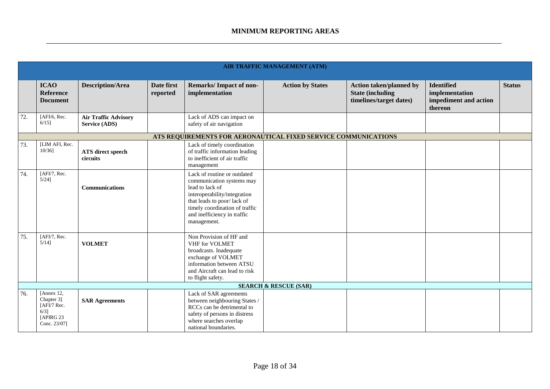|     |                                                                                 |                                                     |                        |                                                                                                                                                                                                                           | <b>AIR TRAFFIC MANAGEMENT (ATM)</b>                            |                                                                                      |                                                                         |               |
|-----|---------------------------------------------------------------------------------|-----------------------------------------------------|------------------------|---------------------------------------------------------------------------------------------------------------------------------------------------------------------------------------------------------------------------|----------------------------------------------------------------|--------------------------------------------------------------------------------------|-------------------------------------------------------------------------|---------------|
|     | <b>ICAO</b><br><b>Reference</b><br><b>Document</b>                              | <b>Description/Area</b>                             | Date first<br>reported | Remarks/Impact of non-<br>implementation                                                                                                                                                                                  | <b>Action by States</b>                                        | <b>Action taken/planned by</b><br><b>State (including</b><br>timelines/target dates) | <b>Identified</b><br>implementation<br>impediment and action<br>thereon | <b>Status</b> |
| 72. | [ $AFI/6$ , Rec.<br>$6/15$ ]                                                    | <b>Air Traffic Advisory</b><br><b>Service (ADS)</b> |                        | Lack of ADS can impact on<br>safety of air navigation                                                                                                                                                                     |                                                                |                                                                                      |                                                                         |               |
|     |                                                                                 |                                                     |                        |                                                                                                                                                                                                                           | ATS REQUIREMENTS FOR AERONAUTICAL FIXED SERVICE COMMUNICATIONS |                                                                                      |                                                                         |               |
| 73. | [LIM AFI, Rec.<br>$10/36$ ]                                                     | ATS direct speech<br>circuits                       |                        | Lack of timely coordination<br>of traffic information leading<br>to inefficient of air traffic<br>management                                                                                                              |                                                                |                                                                                      |                                                                         |               |
| 74. | [AFI/7, Rec.<br>$5/24$ ]                                                        | <b>Communications</b>                               |                        | Lack of routine or outdated<br>communication systems may<br>lead to lack of<br>interoperability/integration<br>that leads to poor/lack of<br>timely coordination of traffic<br>and inefficiency in traffic<br>management. |                                                                |                                                                                      |                                                                         |               |
| 75. | [AFI/7, Rec.<br>$5/14$ ]                                                        | <b>VOLMET</b>                                       |                        | Non Provision of HF and<br>VHF for VOLMET<br>broadcasts. Inadequate<br>exchange of VOLMET<br>information between ATSU<br>and Aircraft can lead to risk<br>to flight safety.                                               |                                                                |                                                                                      |                                                                         |               |
|     |                                                                                 |                                                     |                        |                                                                                                                                                                                                                           | <b>SEARCH &amp; RESCUE (SAR)</b>                               |                                                                                      |                                                                         |               |
| 76. | [Annex 12,<br>Chapter 3]<br>[AFI/7 Rec.<br>$6/3$ ]<br>[APIRG 23<br>Conc. 23/07] | <b>SAR Agreements</b>                               |                        | Lack of SAR agreements<br>between neighbouring States /<br>RCCs can be detrimental to<br>safety of persons in distress<br>where searches overlap<br>national boundaries.                                                  |                                                                |                                                                                      |                                                                         |               |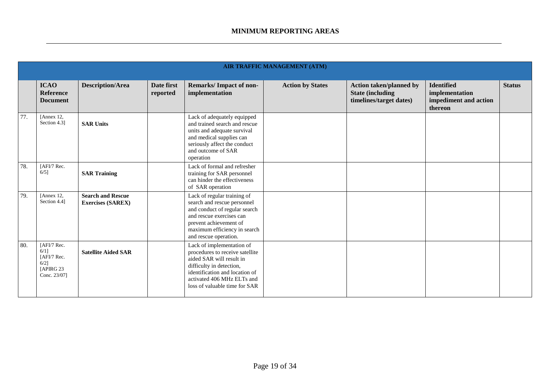|     |                                                                             |                                                      |                        |                                                                                                                                                                                                                       | <b>AIR TRAFFIC MANAGEMENT (ATM)</b> |                                                                                      |                                                                         |               |
|-----|-----------------------------------------------------------------------------|------------------------------------------------------|------------------------|-----------------------------------------------------------------------------------------------------------------------------------------------------------------------------------------------------------------------|-------------------------------------|--------------------------------------------------------------------------------------|-------------------------------------------------------------------------|---------------|
|     | <b>ICAO</b><br><b>Reference</b><br><b>Document</b>                          | <b>Description/Area</b>                              | Date first<br>reported | <b>Remarks/Impact of non-</b><br>implementation                                                                                                                                                                       | <b>Action by States</b>             | <b>Action taken/planned by</b><br><b>State (including</b><br>timelines/target dates) | <b>Identified</b><br>implementation<br>impediment and action<br>thereon | <b>Status</b> |
| 77. | [Annex 12,<br>Section 4.3]                                                  | <b>SAR Units</b>                                     |                        | Lack of adequately equipped<br>and trained search and rescue<br>units and adequate survival<br>and medical supplies can<br>seriously affect the conduct<br>and outcome of SAR<br>operation                            |                                     |                                                                                      |                                                                         |               |
| 78. | [AFI/7 Rec.<br>$6/5$ ]                                                      | <b>SAR Training</b>                                  |                        | Lack of formal and refresher<br>training for SAR personnel<br>can hinder the effectiveness<br>of SAR operation                                                                                                        |                                     |                                                                                      |                                                                         |               |
| 79. | [Annex 12,<br>Section 4.4]                                                  | <b>Search and Rescue</b><br><b>Exercises (SAREX)</b> |                        | Lack of regular training of<br>search and rescue personnel<br>and conduct of regular search<br>and rescue exercises can<br>prevent achievement of<br>maximum efficiency in search<br>and rescue operation.            |                                     |                                                                                      |                                                                         |               |
| 80. | [AFI/7 Rec.<br>6/11<br>[AFI/7 Rec.<br>$6/2$ ]<br>[APIRG 23]<br>Conc. 23/07] | <b>Satellite Aided SAR</b>                           |                        | Lack of implementation of<br>procedures to receive satellite<br>aided SAR will result in<br>difficulty in detection,<br>identification and location of<br>activated 406 MHz ELTs and<br>loss of valuable time for SAR |                                     |                                                                                      |                                                                         |               |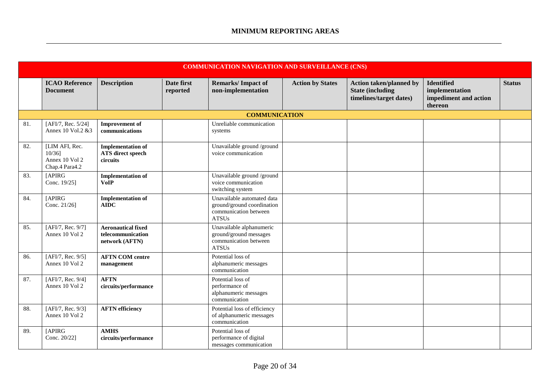|     | <b>COMMUNICATION NAVIGATION AND SURVEILLANCE (CNS)</b>       |                                                                  |                        |                                                                                                   |                         |                                                                                       |                                                                         |               |  |  |
|-----|--------------------------------------------------------------|------------------------------------------------------------------|------------------------|---------------------------------------------------------------------------------------------------|-------------------------|---------------------------------------------------------------------------------------|-------------------------------------------------------------------------|---------------|--|--|
|     | <b>ICAO Reference</b><br><b>Document</b>                     | <b>Description</b>                                               | Date first<br>reported | <b>Remarks/Impact of</b><br>non-implementation                                                    | <b>Action by States</b> | <b>Action taken/planned by</b><br><b>State (including)</b><br>timelines/target dates) | <b>Identified</b><br>implementation<br>impediment and action<br>thereon | <b>Status</b> |  |  |
|     |                                                              |                                                                  |                        | <b>COMMUNICATION</b>                                                                              |                         |                                                                                       |                                                                         |               |  |  |
| 81. | [AFI/7, Rec. 5/24]<br>Annex 10 Vol.2 &3                      | <b>Improvement</b> of<br>communications                          |                        | Unreliable communication<br>systems                                                               |                         |                                                                                       |                                                                         |               |  |  |
| 82. | [LIM AFI, Rec.<br>10/361<br>Annex 10 Vol 2<br>Chap.4 Para4.2 | <b>Implementation of</b><br><b>ATS</b> direct speech<br>circuits |                        | Unavailable ground /ground<br>voice communication                                                 |                         |                                                                                       |                                                                         |               |  |  |
| 83. | [APIRG<br>Conc. 19/25]                                       | <b>Implementation of</b><br><b>VoIP</b>                          |                        | Unavailable ground /ground<br>voice communication<br>switching system                             |                         |                                                                                       |                                                                         |               |  |  |
| 84. | [APIRG<br>Conc. 21/26]                                       | <b>Implementation of</b><br><b>AIDC</b>                          |                        | Unavailable automated data<br>ground/ground coordination<br>communication between<br><b>ATSUs</b> |                         |                                                                                       |                                                                         |               |  |  |
| 85. | [AFI/7, Rec. 9/7]<br>Annex 10 Vol 2                          | <b>Aeronautical fixed</b><br>telecommunication<br>network (AFTN) |                        | Unavailable alphanumeric<br>ground/ground messages<br>communication between<br><b>ATSUs</b>       |                         |                                                                                       |                                                                         |               |  |  |
| 86. | [AFI/7, Rec. 9/5]<br>Annex 10 Vol 2                          | <b>AFTN COM centre</b><br>management                             |                        | Potential loss of<br>alphanumeric messages<br>communication                                       |                         |                                                                                       |                                                                         |               |  |  |
| 87. | [AFI/7, Rec. 9/4]<br>Annex 10 Vol 2                          | <b>AFTN</b><br>circuits/performance                              |                        | Potential loss of<br>performance of<br>alphanumeric messages<br>communication                     |                         |                                                                                       |                                                                         |               |  |  |
| 88. | [AFI/7, Rec. 9/3]<br>Annex 10 Vol 2                          | <b>AFTN</b> efficiency                                           |                        | Potential loss of efficiency<br>of alphanumeric messages<br>communication                         |                         |                                                                                       |                                                                         |               |  |  |
| 89. | <b>[APIRG</b><br>Conc. 20/22]                                | <b>AMHS</b><br>circuits/performance                              |                        | Potential loss of<br>performance of digital<br>messages communication                             |                         |                                                                                       |                                                                         |               |  |  |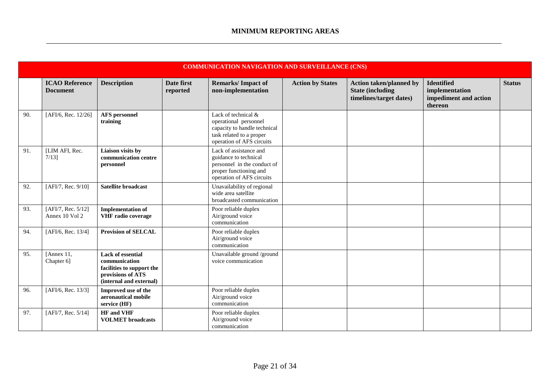|     |                                          |                                                                                                                        |                        | <b>COMMUNICATION NAVIGATION AND SURVEILLANCE (CNS)</b>                                                                                |                         |                                                                                       |                                                                         |               |
|-----|------------------------------------------|------------------------------------------------------------------------------------------------------------------------|------------------------|---------------------------------------------------------------------------------------------------------------------------------------|-------------------------|---------------------------------------------------------------------------------------|-------------------------------------------------------------------------|---------------|
|     | <b>ICAO Reference</b><br><b>Document</b> | <b>Description</b>                                                                                                     | Date first<br>reported | <b>Remarks/Impact of</b><br>non-implementation                                                                                        | <b>Action by States</b> | <b>Action taken/planned by</b><br><b>State (including)</b><br>timelines/target dates) | <b>Identified</b><br>implementation<br>impediment and action<br>thereon | <b>Status</b> |
| 90. | [AFI/6, Rec. 12/26]                      | <b>AFS</b> personnel<br>training                                                                                       |                        | Lack of technical &<br>operational personnel<br>capacity to handle technical<br>task related to a proper<br>operation of AFS circuits |                         |                                                                                       |                                                                         |               |
| 91. | [LIM AFI, Rec.<br>$7/13$ ]               | Liaison visits by<br>communication centre<br>personnel                                                                 |                        | Lack of assistance and<br>guidance to technical<br>personnel in the conduct of<br>proper functioning and<br>operation of AFS circuits |                         |                                                                                       |                                                                         |               |
| 92. | [AFI/7, Rec. 9/10]                       | <b>Satellite broadcast</b>                                                                                             |                        | Unavailability of regional<br>wide area satellite<br>broadcasted communication                                                        |                         |                                                                                       |                                                                         |               |
| 93. | [AFI/7, Rec. 5/12]<br>Annex 10 Vol 2     | <b>Implementation of</b><br>VHF radio coverage                                                                         |                        | Poor reliable duplex<br>Air/ground voice<br>communication                                                                             |                         |                                                                                       |                                                                         |               |
| 94. | [AFI/6, Rec. 13/4]                       | <b>Provision of SELCAL</b>                                                                                             |                        | Poor reliable duplex<br>Air/ground voice<br>communication                                                                             |                         |                                                                                       |                                                                         |               |
| 95. | [Annex 11,<br>Chapter 6]                 | <b>Lack of essential</b><br>communication<br>facilities to support the<br>provisions of ATS<br>(internal and external) |                        | Unavailable ground /ground<br>voice communication                                                                                     |                         |                                                                                       |                                                                         |               |
| 96. | [AFI/6, Rec. 13/3]                       | Improved use of the<br>aeronautical mobile<br>service (HF)                                                             |                        | Poor reliable duplex<br>Air/ground voice<br>communication                                                                             |                         |                                                                                       |                                                                         |               |
| 97. | [AFI/7, Rec. 5/14]                       | <b>HF</b> and VHF<br><b>VOLMET</b> broadcasts                                                                          |                        | Poor reliable duplex<br>Air/ground voice<br>communication                                                                             |                         |                                                                                       |                                                                         |               |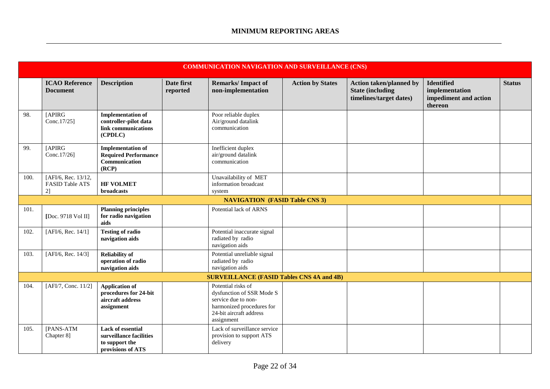|      | <b>COMMUNICATION NAVIGATION AND SURVEILLANCE (CNS)</b> |                                                                                            |                        |                                                                                                                                              |                         |                                                                                      |                                                                         |               |  |
|------|--------------------------------------------------------|--------------------------------------------------------------------------------------------|------------------------|----------------------------------------------------------------------------------------------------------------------------------------------|-------------------------|--------------------------------------------------------------------------------------|-------------------------------------------------------------------------|---------------|--|
|      | <b>ICAO Reference</b><br><b>Document</b>               | <b>Description</b>                                                                         | Date first<br>reported | <b>Remarks/Impact of</b><br>non-implementation                                                                                               | <b>Action by States</b> | <b>Action taken/planned by</b><br><b>State (including</b><br>timelines/target dates) | <b>Identified</b><br>implementation<br>impediment and action<br>thereon | <b>Status</b> |  |
| 98.  | [APIRG<br>Conc.17/25]                                  | <b>Implementation of</b><br>controller-pilot data<br>link communications<br>(CPDLC)        |                        | Poor reliable duplex<br>Air/ground datalink<br>communication                                                                                 |                         |                                                                                      |                                                                         |               |  |
| 99.  | [APIRG<br>Conc.17/26]                                  | <b>Implementation of</b><br><b>Required Performance</b><br>Communication<br>(RCP)          |                        | Inefficient duplex<br>air/ground datalink<br>communication                                                                                   |                         |                                                                                      |                                                                         |               |  |
| 100. | [AFI/6, Rec. 13/12,<br><b>FASID Table ATS</b><br>2]    | <b>HF VOLMET</b><br>broadcasts                                                             |                        | Unavailability of MET<br>information broadcast<br>system                                                                                     |                         |                                                                                      |                                                                         |               |  |
|      |                                                        |                                                                                            |                        | <b>NAVIGATION (FASID Table CNS 3)</b>                                                                                                        |                         |                                                                                      |                                                                         |               |  |
| 101. | [Doc. 9718 Vol II]                                     | <b>Planning principles</b><br>for radio navigation<br>aids                                 |                        | Potential lack of ARNS                                                                                                                       |                         |                                                                                      |                                                                         |               |  |
| 102. | [AFI/6, Rec. 14/1]                                     | <b>Testing of radio</b><br>navigation aids                                                 |                        | Potential inaccurate signal<br>radiated by radio<br>navigation aids                                                                          |                         |                                                                                      |                                                                         |               |  |
| 103. | [AFI/6, Rec. 14/3]                                     | <b>Reliability of</b><br>operation of radio<br>navigation aids                             |                        | Potential unreliable signal<br>radiated by radio<br>navigation aids                                                                          |                         |                                                                                      |                                                                         |               |  |
|      |                                                        |                                                                                            |                        | <b>SURVEILLANCE (FASID Tables CNS 4A and 4B)</b>                                                                                             |                         |                                                                                      |                                                                         |               |  |
| 104. | [AFI/7, Conc. 11/2]                                    | <b>Application of</b><br>procedures for 24-bit<br>aircraft address<br>assignment           |                        | Potential risks of<br>dysfunction of SSR Mode S<br>service due to non-<br>harmonized procedures for<br>24-bit aircraft address<br>assignment |                         |                                                                                      |                                                                         |               |  |
| 105. | [PANS-ATM<br>Chapter 8]                                | <b>Lack of essential</b><br>surveillance facilities<br>to support the<br>provisions of ATS |                        | Lack of surveillance service<br>provision to support ATS<br>delivery                                                                         |                         |                                                                                      |                                                                         |               |  |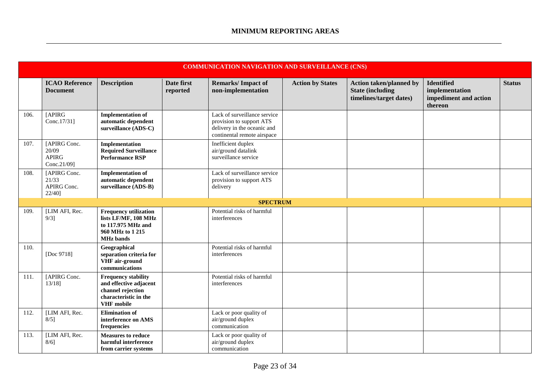|      | <b>COMMUNICATION NAVIGATION AND SURVEILLANCE (CNS)</b> |                                                                                                                         |                        |                                                                                                                        |                         |                                                                                      |                                                                         |               |  |  |
|------|--------------------------------------------------------|-------------------------------------------------------------------------------------------------------------------------|------------------------|------------------------------------------------------------------------------------------------------------------------|-------------------------|--------------------------------------------------------------------------------------|-------------------------------------------------------------------------|---------------|--|--|
|      | <b>ICAO Reference</b><br><b>Document</b>               | <b>Description</b>                                                                                                      | Date first<br>reported | <b>Remarks/Impact of</b><br>non-implementation                                                                         | <b>Action by States</b> | <b>Action taken/planned by</b><br><b>State (including</b><br>timelines/target dates) | <b>Identified</b><br>implementation<br>impediment and action<br>thereon | <b>Status</b> |  |  |
| 106. | [APIRG<br>Conc.17/31]                                  | <b>Implementation of</b><br>automatic dependent<br>surveillance (ADS-C)                                                 |                        | Lack of surveillance service<br>provision to support ATS<br>delivery in the oceanic and<br>continental remote airspace |                         |                                                                                      |                                                                         |               |  |  |
| 107. | [APIRG Conc.<br>20/09<br><b>APIRG</b><br>Conc.21/09]   | Implementation<br><b>Required Surveillance</b><br><b>Performance RSP</b>                                                |                        | Inefficient duplex<br>air/ground datalink<br>surveillance service                                                      |                         |                                                                                      |                                                                         |               |  |  |
| 108. | [APIRG Conc.<br>21/33<br>APIRG Conc.<br>22/40]         | <b>Implementation of</b><br>automatic dependent<br>surveillance (ADS-B)                                                 |                        | Lack of surveillance service<br>provision to support ATS<br>delivery                                                   |                         |                                                                                      |                                                                         |               |  |  |
|      |                                                        |                                                                                                                         |                        | <b>SPECTRUM</b>                                                                                                        |                         |                                                                                      |                                                                         |               |  |  |
| 109. | [LIM AFI, Rec.<br>$9/3$ ]                              | <b>Frequency utilization</b><br>lists LF/MF, 108 MHz<br>to 117.975 MHz and<br>960 MHz to 1215<br><b>MHz</b> bands       |                        | Potential risks of harmful<br>interferences                                                                            |                         |                                                                                      |                                                                         |               |  |  |
| 110. | [Doc 9718]                                             | Geographical<br>separation criteria for<br>VHF air-ground<br>communications                                             |                        | Potential risks of harmful<br>interferences                                                                            |                         |                                                                                      |                                                                         |               |  |  |
| 111. | [APIRG Conc.<br>$13/18$ ]                              | <b>Frequency stability</b><br>and effective adjacent<br>channel rejection<br>characteristic in the<br><b>VHF</b> mobile |                        | Potential risks of harmful<br>interferences                                                                            |                         |                                                                                      |                                                                         |               |  |  |
| 112. | [LIM AFI, Rec.<br>$8/5$ ]                              | <b>Elimination of</b><br>interference on AMS<br>frequencies                                                             |                        | Lack or poor quality of<br>air/ground duplex<br>communication                                                          |                         |                                                                                      |                                                                         |               |  |  |
| 113. | [LIM AFI, Rec.<br>$8/6$ ]                              | <b>Measures to reduce</b><br>harmful interference<br>from carrier systems                                               |                        | Lack or poor quality of<br>air/ground duplex<br>communication                                                          |                         |                                                                                      |                                                                         |               |  |  |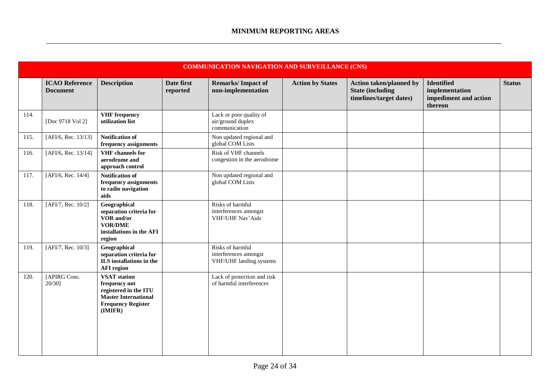|      | <b>COMMUNICATION NAVIGATION AND SURVEILLANCE (CNS)</b> |                                                                                                                                      |                        |                                                                      |                         |                                                                                       |                                                                         |               |  |  |
|------|--------------------------------------------------------|--------------------------------------------------------------------------------------------------------------------------------------|------------------------|----------------------------------------------------------------------|-------------------------|---------------------------------------------------------------------------------------|-------------------------------------------------------------------------|---------------|--|--|
|      | <b>ICAO Reference</b><br><b>Document</b>               | <b>Description</b>                                                                                                                   | Date first<br>reported | <b>Remarks/Impact of</b><br>non-implementation                       | <b>Action by States</b> | <b>Action taken/planned by</b><br><b>State (including)</b><br>timelines/target dates) | <b>Identified</b><br>implementation<br>impediment and action<br>thereon | <b>Status</b> |  |  |
| 114. | [Doc 9718 Vol 2]                                       | <b>VHF</b> frequency<br>utilization list                                                                                             |                        | Lack or poor quality of<br>air/ground duplex<br>communication        |                         |                                                                                       |                                                                         |               |  |  |
| 115. | [AFI/6, Rec. 13/13]                                    | <b>Notification of</b><br>frequency assignments                                                                                      |                        | Non updated regional and<br>global COM Lists                         |                         |                                                                                       |                                                                         |               |  |  |
| 116. | [AFI/6, Rec. 13/14]                                    | <b>VHF</b> channels for<br>aerodrome and<br>approach control                                                                         |                        | Risk of VHF channels<br>congestion in the aerodrome                  |                         |                                                                                       |                                                                         |               |  |  |
| 117. | [AFI/6, Rec. 14/4]                                     | <b>Notification of</b><br>frequency assignments<br>to radio navigation<br>aids                                                       |                        | Non updated regional and<br>global COM Lists                         |                         |                                                                                       |                                                                         |               |  |  |
| 118. | [AFI/7, Rec. 10/2]                                     | Geographical<br>separation criteria for<br>VOR and/or<br><b>VOR/DME</b><br>installations in the AFI<br>region                        |                        | Risks of harmful<br>interferences amongst<br>VHF/UHF Nav'Aids        |                         |                                                                                       |                                                                         |               |  |  |
| 119. | [AFI/7, Rec. 10/3]                                     | Geographical<br>separation criteria for<br>ILS installations in the<br><b>AFI</b> region                                             |                        | Risks of harmful<br>interferences amongst<br>VHF/UHF landing systems |                         |                                                                                       |                                                                         |               |  |  |
| 120. | [APIRG Conc.<br>$20/30$ ]                              | <b>VSAT</b> station<br>frequency not<br>registered in the ITU<br><b>Master International</b><br><b>Frequency Register</b><br>(IMIFR) |                        | Lack of protection and risk<br>of harmful interferences              |                         |                                                                                       |                                                                         |               |  |  |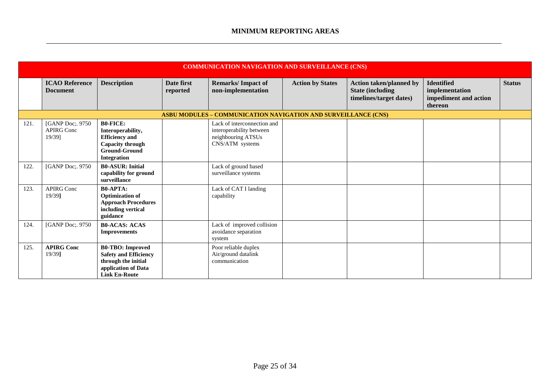|      | <b>COMMUNICATION NAVIGATION AND SURVEILLANCE (CNS)</b>         |                                                                                                                               |                        |                                                                                                  |                         |                                                                                       |                                                                         |               |  |  |
|------|----------------------------------------------------------------|-------------------------------------------------------------------------------------------------------------------------------|------------------------|--------------------------------------------------------------------------------------------------|-------------------------|---------------------------------------------------------------------------------------|-------------------------------------------------------------------------|---------------|--|--|
|      | <b>ICAO Reference</b><br><b>Document</b>                       | <b>Description</b>                                                                                                            | Date first<br>reported | <b>Remarks/Impact of</b><br>non-implementation                                                   | <b>Action by States</b> | <b>Action taken/planned by</b><br><b>State (including)</b><br>timelines/target dates) | <b>Identified</b><br>implementation<br>impediment and action<br>thereon | <b>Status</b> |  |  |
|      | ASBU MODULES - COMMUNICATION NAVIGATION AND SURVEILLANCE (CNS) |                                                                                                                               |                        |                                                                                                  |                         |                                                                                       |                                                                         |               |  |  |
| 121. | [GANP Doc;. 9750]<br><b>APIRG Conc</b><br>19/39]               | <b>B0-FICE:</b><br>Interoperability,<br><b>Efficiency</b> and<br>Capacity through<br><b>Ground-Ground</b><br>Integration      |                        | Lack of interconnection and<br>interoperability between<br>neighbouring ATSUs<br>CNS/ATM systems |                         |                                                                                       |                                                                         |               |  |  |
| 122. | [GANP Doc; 9750]                                               | <b>B0-ASUR: Initial</b><br>capability for ground<br>surveillance                                                              |                        | Lack of ground based<br>surveillance systems                                                     |                         |                                                                                       |                                                                         |               |  |  |
| 123. | <b>APIRG Conc</b><br>19/39]                                    | <b>B0-APTA:</b><br><b>Optimization of</b><br><b>Approach Procedures</b><br>including vertical<br>guidance                     |                        | Lack of CAT I landing<br>capability                                                              |                         |                                                                                       |                                                                         |               |  |  |
| 124. | [GANP Doc;. 9750]                                              | <b>B0-ACAS: ACAS</b><br><b>Improvements</b>                                                                                   |                        | Lack of improved collision<br>avoidance separation<br>system                                     |                         |                                                                                       |                                                                         |               |  |  |
| 125. | <b>APIRG Conc</b><br>19/39]                                    | <b>B0-TBO:</b> Improved<br><b>Safety and Efficiency</b><br>through the initial<br>application of Data<br><b>Link En-Route</b> |                        | Poor reliable duplex<br>Air/ground datalink<br>communication                                     |                         |                                                                                       |                                                                         |               |  |  |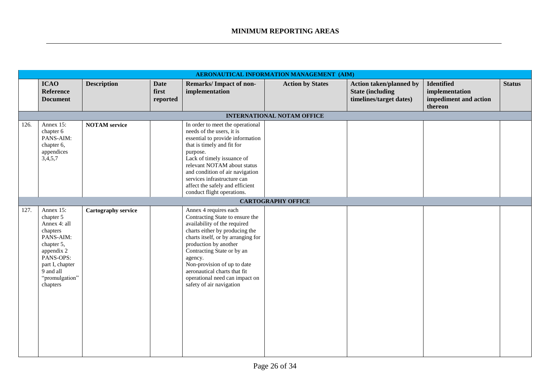|      |                                                                                                                                                                        |                      |                                  |                                                                                                                                                                                                                                                                                                                                                                 | AERONAUTICAL INFORMATION MANAGEMENT (AIM) |                                                                                       |                                                                         |               |
|------|------------------------------------------------------------------------------------------------------------------------------------------------------------------------|----------------------|----------------------------------|-----------------------------------------------------------------------------------------------------------------------------------------------------------------------------------------------------------------------------------------------------------------------------------------------------------------------------------------------------------------|-------------------------------------------|---------------------------------------------------------------------------------------|-------------------------------------------------------------------------|---------------|
|      | <b>ICAO</b><br>Reference<br><b>Document</b>                                                                                                                            | <b>Description</b>   | <b>Date</b><br>first<br>reported | <b>Remarks/Impact of non-</b><br>implementation                                                                                                                                                                                                                                                                                                                 | <b>Action by States</b>                   | <b>Action taken/planned by</b><br><b>State (including)</b><br>timelines/target dates) | <b>Identified</b><br>implementation<br>impediment and action<br>thereon | <b>Status</b> |
|      |                                                                                                                                                                        |                      |                                  |                                                                                                                                                                                                                                                                                                                                                                 | <b>INTERNATIONAL NOTAM OFFICE</b>         |                                                                                       |                                                                         |               |
| 126. | Annex 15:<br>chapter 6<br>PANS-AIM:<br>chapter 6,<br>appendices<br>3,4,5,7                                                                                             | <b>NOTAM</b> service |                                  | In order to meet the operational<br>needs of the users, it is<br>essential to provide information<br>that is timely and fit for<br>purpose.<br>Lack of timely issuance of<br>relevant NOTAM about status<br>and condition of air navigation<br>services infrastructure can<br>affect the safely and efficient<br>conduct flight operations.                     |                                           |                                                                                       |                                                                         |               |
|      |                                                                                                                                                                        |                      |                                  |                                                                                                                                                                                                                                                                                                                                                                 | <b>CARTOGRAPHY OFFICE</b>                 |                                                                                       |                                                                         |               |
| 127. | Annex 15:<br>chapter 5<br>Annex 4: all<br>chapters<br>PANS-AIM:<br>chapter 5,<br>appendix 2<br>PANS-OPS:<br>part I, chapter<br>9 and all<br>"promulgation"<br>chapters | Cartography service  |                                  | Annex 4 requires each<br>Contracting State to ensure the<br>availability of the required<br>charts either by producing the<br>charts itself, or by arranging for<br>production by another<br>Contracting State or by an<br>agency.<br>Non-provision of up to date<br>aeronautical charts that fit<br>operational need can impact on<br>safety of air navigation |                                           |                                                                                       |                                                                         |               |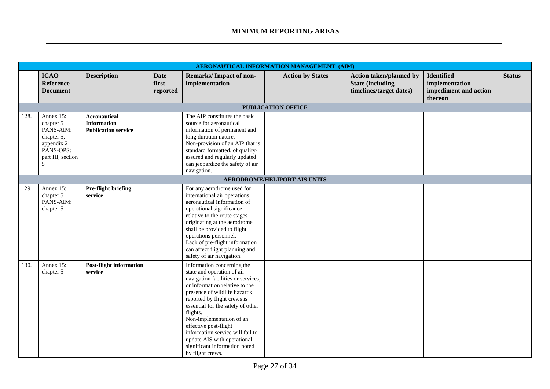|      | AERONAUTICAL INFORMATION MANAGEMENT (AIM)                                                              |                                                                         |                                  |                                                                                                                                                                                                                                                                                                                                                                                                                               |                                     |                                                                                       |                                                                         |               |  |  |
|------|--------------------------------------------------------------------------------------------------------|-------------------------------------------------------------------------|----------------------------------|-------------------------------------------------------------------------------------------------------------------------------------------------------------------------------------------------------------------------------------------------------------------------------------------------------------------------------------------------------------------------------------------------------------------------------|-------------------------------------|---------------------------------------------------------------------------------------|-------------------------------------------------------------------------|---------------|--|--|
|      | <b>ICAO</b><br><b>Reference</b><br><b>Document</b>                                                     | <b>Description</b>                                                      | <b>Date</b><br>first<br>reported | <b>Remarks/Impact of non-</b><br>implementation                                                                                                                                                                                                                                                                                                                                                                               | <b>Action by States</b>             | <b>Action taken/planned by</b><br><b>State (including)</b><br>timelines/target dates) | <b>Identified</b><br>implementation<br>impediment and action<br>thereon | <b>Status</b> |  |  |
|      |                                                                                                        |                                                                         |                                  |                                                                                                                                                                                                                                                                                                                                                                                                                               | <b>PUBLICATION OFFICE</b>           |                                                                                       |                                                                         |               |  |  |
| 128. | Annex 15:<br>chapter 5<br>PANS-AIM:<br>chapter 5,<br>appendix 2<br>PANS-OPS:<br>part III, section<br>5 | <b>Aeronautical</b><br><b>Information</b><br><b>Publication service</b> |                                  | The AIP constitutes the basic<br>source for aeronautical<br>information of permanent and<br>long duration nature.<br>Non-provision of an AIP that is<br>standard formatted, of quality-<br>assured and regularly updated<br>can jeopardize the safety of air<br>navigation.                                                                                                                                                   |                                     |                                                                                       |                                                                         |               |  |  |
|      |                                                                                                        |                                                                         |                                  |                                                                                                                                                                                                                                                                                                                                                                                                                               | <b>AERODROME/HELIPORT AIS UNITS</b> |                                                                                       |                                                                         |               |  |  |
| 129. | Annex 15:<br>chapter 5<br>PANS-AIM:<br>chapter 5                                                       | Pre-flight briefing<br>service                                          |                                  | For any aerodrome used for<br>international air operations,<br>aeronautical information of<br>operational significance<br>relative to the route stages<br>originating at the aerodrome<br>shall be provided to flight<br>operations personnel.<br>Lack of pre-flight information<br>can affect flight planning and<br>safety of air navigation.                                                                               |                                     |                                                                                       |                                                                         |               |  |  |
| 130. | Annex 15:<br>chapter 5                                                                                 | <b>Post-flight information</b><br>service                               |                                  | Information concerning the<br>state and operation of air<br>navigation facilities or services,<br>or information relative to the<br>presence of wildlife hazards<br>reported by flight crews is<br>essential for the safety of other<br>flights.<br>Non-implementation of an<br>effective post-flight<br>information service will fail to<br>update AIS with operational<br>significant information noted<br>by flight crews. |                                     |                                                                                       |                                                                         |               |  |  |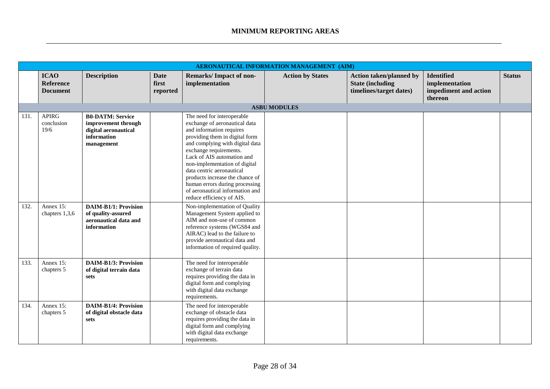|      |                                                    |                                                                                                     |                                  |                                                                                                                                                                                                                                                                                                                                                                                                                         | <b>AERONAUTICAL INFORMATION MANAGEMENT (AIM)</b> |                                                                                      |                                                                         |               |
|------|----------------------------------------------------|-----------------------------------------------------------------------------------------------------|----------------------------------|-------------------------------------------------------------------------------------------------------------------------------------------------------------------------------------------------------------------------------------------------------------------------------------------------------------------------------------------------------------------------------------------------------------------------|--------------------------------------------------|--------------------------------------------------------------------------------------|-------------------------------------------------------------------------|---------------|
|      | <b>ICAO</b><br><b>Reference</b><br><b>Document</b> | <b>Description</b>                                                                                  | <b>Date</b><br>first<br>reported | <b>Remarks/Impact of non-</b><br>implementation                                                                                                                                                                                                                                                                                                                                                                         | <b>Action by States</b>                          | <b>Action taken/planned by</b><br><b>State (including</b><br>timelines/target dates) | <b>Identified</b><br>implementation<br>impediment and action<br>thereon | <b>Status</b> |
|      |                                                    |                                                                                                     |                                  |                                                                                                                                                                                                                                                                                                                                                                                                                         | <b>ASBU MODULES</b>                              |                                                                                      |                                                                         |               |
| 131. | <b>APIRG</b><br>conclusion<br>19/6                 | <b>B0-DATM: Service</b><br>improvement through<br>digital aeronautical<br>information<br>management |                                  | The need for interoperable<br>exchange of aeronautical data<br>and information requires<br>providing them in digital form<br>and complying with digital data<br>exchange requirements.<br>Lack of AIS automation and<br>non-implementation of digital<br>data centric aeronautical<br>products increase the chance of<br>human errors during processing<br>of aeronautical information and<br>reduce efficiency of AIS. |                                                  |                                                                                      |                                                                         |               |
| 132. | Annex 15:<br>chapters 1,3,6                        | <b>DAIM-B1/1: Provision</b><br>of quality-assured<br>aeronautical data and<br>information           |                                  | Non-implementation of Quality<br>Management System applied to<br>AIM and non-use of common<br>reference systems (WGS84 and<br>AIRAC) lead to the failure to<br>provide aeronautical data and<br>information of required quality.                                                                                                                                                                                        |                                                  |                                                                                      |                                                                         |               |
| 133. | Annex 15:<br>chapters 5                            | <b>DAIM-B1/3: Provision</b><br>of digital terrain data<br>sets                                      |                                  | The need for interoperable<br>exchange of terrain data<br>requires providing the data in<br>digital form and complying<br>with digital data exchange<br>requirements.                                                                                                                                                                                                                                                   |                                                  |                                                                                      |                                                                         |               |
| 134. | Annex 15:<br>chapters 5                            | <b>DAIM-B1/4: Provision</b><br>of digital obstacle data<br>sets                                     |                                  | The need for interoperable<br>exchange of obstacle data<br>requires providing the data in<br>digital form and complying<br>with digital data exchange<br>requirements.                                                                                                                                                                                                                                                  |                                                  |                                                                                      |                                                                         |               |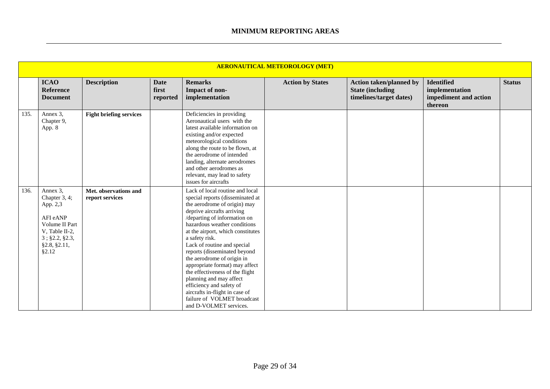|      | <b>AERONAUTICAL METEOROLOGY (MET)</b>                                                                                            |                                          |                                  |                                                                                                                                                                                                                                                                                                                                                                                                                                                                                                                                                                              |                         |                                                                                       |                                                                         |               |  |  |  |
|------|----------------------------------------------------------------------------------------------------------------------------------|------------------------------------------|----------------------------------|------------------------------------------------------------------------------------------------------------------------------------------------------------------------------------------------------------------------------------------------------------------------------------------------------------------------------------------------------------------------------------------------------------------------------------------------------------------------------------------------------------------------------------------------------------------------------|-------------------------|---------------------------------------------------------------------------------------|-------------------------------------------------------------------------|---------------|--|--|--|
|      | <b>ICAO</b><br><b>Reference</b><br><b>Document</b>                                                                               | <b>Description</b>                       | <b>Date</b><br>first<br>reported | <b>Remarks</b><br>Impact of non-<br>implementation                                                                                                                                                                                                                                                                                                                                                                                                                                                                                                                           | <b>Action by States</b> | <b>Action taken/planned by</b><br><b>State (including)</b><br>timelines/target dates) | <b>Identified</b><br>implementation<br>impediment and action<br>thereon | <b>Status</b> |  |  |  |
| 135. | Annex 3,<br>Chapter 9,<br>App. 8                                                                                                 | <b>Fight briefing services</b>           |                                  | Deficiencies in providing<br>Aeronautical users with the<br>latest available information on<br>existing and/or expected<br>meteorological conditions<br>along the route to be flown, at<br>the aerodrome of intended<br>landing, alternate aerodromes<br>and other aerodromes as<br>relevant, may lead to safety<br>issues for aircrafts                                                                                                                                                                                                                                     |                         |                                                                                       |                                                                         |               |  |  |  |
| 136. | Annex 3,<br>Chapter 3, 4;<br>App. 2,3<br>AFI eANP<br>Volume II Part<br>V, Table II-2,<br>3; §2.2, §2.3,<br>§2.8, §2.11,<br>§2.12 | Met. observations and<br>report services |                                  | Lack of local routine and local<br>special reports (disseminated at<br>the aerodrome of origin) may<br>deprive aircrafts arriving<br>/departing of information on<br>hazardous weather conditions<br>at the airport, which constitutes<br>a safety risk.<br>Lack of routine and special<br>reports (disseminated beyond<br>the aerodrome of origin in<br>appropriate format) may affect<br>the effectiveness of the flight<br>planning and may affect<br>efficiency and safety of<br>aircrafts in-flight in case of<br>failure of VOLMET broadcast<br>and D-VOLMET services. |                         |                                                                                       |                                                                         |               |  |  |  |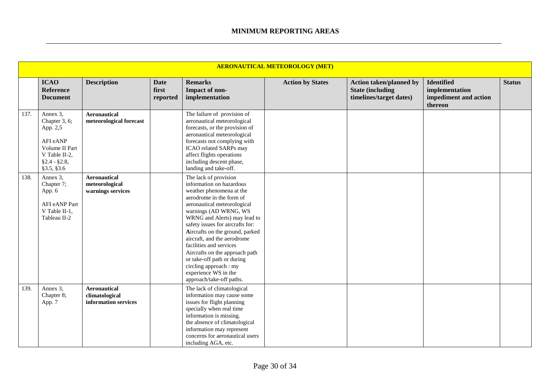|      |                                                                                                                      |                                                            |                                  |                                                                                                                                                                                                                                                                                                                                                                                                                                                                                  | <b>AERONAUTICAL METEOROLOGY (MET)</b> |                                                                                       |                                                                         |               |
|------|----------------------------------------------------------------------------------------------------------------------|------------------------------------------------------------|----------------------------------|----------------------------------------------------------------------------------------------------------------------------------------------------------------------------------------------------------------------------------------------------------------------------------------------------------------------------------------------------------------------------------------------------------------------------------------------------------------------------------|---------------------------------------|---------------------------------------------------------------------------------------|-------------------------------------------------------------------------|---------------|
|      | <b>ICAO</b><br><b>Reference</b><br><b>Document</b>                                                                   | <b>Description</b>                                         | <b>Date</b><br>first<br>reported | <b>Remarks</b><br>Impact of non-<br>implementation                                                                                                                                                                                                                                                                                                                                                                                                                               | <b>Action by States</b>               | <b>Action taken/planned by</b><br><b>State (including)</b><br>timelines/target dates) | <b>Identified</b><br>implementation<br>impediment and action<br>thereon | <b>Status</b> |
| 137. | Annex 3,<br>Chapter 3, 6;<br>App. 2,5<br>AFI eANP<br>Volume II Part<br>V Table II-2,<br>$§2.4 - §2.8,$<br>§3.5, §3.6 | Aeronautical<br>meteorological forecast                    |                                  | The failure of provision of<br>aeronautical meteorological<br>forecasts, or the provision of<br>aeronautical meteorological<br>forecasts not complying with<br>ICAO related SARPs may<br>affect flights operations<br>including descent phase,<br>landing and take-off.                                                                                                                                                                                                          |                                       |                                                                                       |                                                                         |               |
| 138. | Annex 3,<br>Chapter 7;<br>App. 6<br>AFI eANP Part<br>V Table II-1,<br>Tableau II-2                                   | <b>Aeronautical</b><br>meteorological<br>warnings services |                                  | The lack of provision<br>information on hazardous<br>weather phenomena at the<br>aerodrome in the form of<br>aeronautical meteorological<br>warnings (AD WRNG, WS<br>WRNG and Alerts) may lead to<br>safety issues for aircrafts for:<br>Aircrafts on the ground, parked<br>aircraft, and the aerodrome<br>facilities and services<br>Aircrafts on the approach path<br>or take-off path or during<br>circling approach : my<br>experience WS in the<br>approach/take-off paths. |                                       |                                                                                       |                                                                         |               |
| 139. | Annex 3,<br>Chapter 8;<br>App. 7                                                                                     | Aeronautical<br>climatological<br>information services     |                                  | The lack of climatological<br>information may cause some<br>issues for flight planning<br>specially when real time<br>information is missing.<br>the absence of climatological<br>information may represent<br>concerns for aeronautical users<br>including AGA, etc.                                                                                                                                                                                                            |                                       |                                                                                       |                                                                         |               |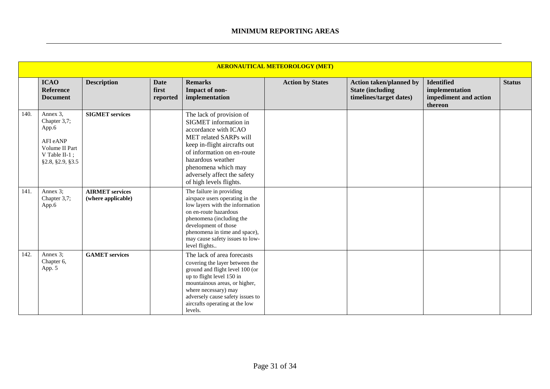|      |                                                                                                         |                                              |                                  |                                                                                                                                                                                                                                                                                | <b>AERONAUTICAL METEOROLOGY (MET)</b> |                                                                                      |                                                                         |               |
|------|---------------------------------------------------------------------------------------------------------|----------------------------------------------|----------------------------------|--------------------------------------------------------------------------------------------------------------------------------------------------------------------------------------------------------------------------------------------------------------------------------|---------------------------------------|--------------------------------------------------------------------------------------|-------------------------------------------------------------------------|---------------|
|      | <b>ICAO</b><br><b>Reference</b><br><b>Document</b>                                                      | <b>Description</b>                           | <b>Date</b><br>first<br>reported | <b>Remarks</b><br>Impact of non-<br>implementation                                                                                                                                                                                                                             | <b>Action by States</b>               | <b>Action taken/planned by</b><br><b>State (including</b><br>timelines/target dates) | <b>Identified</b><br>implementation<br>impediment and action<br>thereon | <b>Status</b> |
| 140. | Annex 3,<br>Chapter 3,7;<br>App.6<br>AFI eANP<br>Volume II Part<br>V Table II-1;<br>\$2.8, \$2.9, \$3.5 | <b>SIGMET</b> services                       |                                  | The lack of provision of<br>SIGMET information in<br>accordance with ICAO<br><b>MET</b> related SARPs will<br>keep in-flight aircrafts out<br>of information on en-route<br>hazardous weather<br>phenomena which may<br>adversely affect the safety<br>of high levels flights. |                                       |                                                                                      |                                                                         |               |
| 141. | Annex 3;<br>Chapter 3,7;<br>App.6                                                                       | <b>AIRMET</b> services<br>(where applicable) |                                  | The failure in providing<br>airspace users operating in the<br>low layers with the information<br>on en-route hazardous<br>phenomena (including the<br>development of those<br>phenomena in time and space),<br>may cause safety issues to low-<br>level flights               |                                       |                                                                                      |                                                                         |               |
| 142. | Annex 3;<br>Chapter 6,<br>App. 5                                                                        | <b>GAMET</b> services                        |                                  | The lack of area forecasts<br>covering the layer between the<br>ground and flight level 100 (or<br>up to flight level 150 in<br>mountainous areas, or higher,<br>where necessary) may<br>adversely cause safety issues to<br>aircrafts operating at the low<br>levels.         |                                       |                                                                                      |                                                                         |               |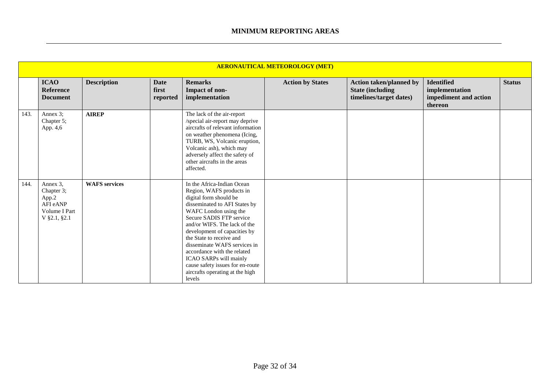|      | <b>AERONAUTICAL METEOROLOGY (MET)</b>                                        |                      |                                  |                                                                                                                                                                                                                                                                                                                                                                                                                                              |                         |                                                                                       |                                                                         |               |  |  |  |
|------|------------------------------------------------------------------------------|----------------------|----------------------------------|----------------------------------------------------------------------------------------------------------------------------------------------------------------------------------------------------------------------------------------------------------------------------------------------------------------------------------------------------------------------------------------------------------------------------------------------|-------------------------|---------------------------------------------------------------------------------------|-------------------------------------------------------------------------|---------------|--|--|--|
|      | <b>ICAO</b><br>Reference<br><b>Document</b>                                  | <b>Description</b>   | <b>Date</b><br>first<br>reported | <b>Remarks</b><br>Impact of non-<br>implementation                                                                                                                                                                                                                                                                                                                                                                                           | <b>Action by States</b> | <b>Action taken/planned by</b><br><b>State (including)</b><br>timelines/target dates) | <b>Identified</b><br>implementation<br>impediment and action<br>thereon | <b>Status</b> |  |  |  |
| 143. | Annex 3;<br>Chapter 5;<br>App. 4,6                                           | <b>AIREP</b>         |                                  | The lack of the air-report<br>/special air-report may deprive<br>aircrafts of relevant information<br>on weather phenomena (Icing,<br>TURB, WS, Volcanic eruption,<br>Volcanic ash), which may<br>adversely affect the safety of<br>other aircrafts in the areas<br>affected.                                                                                                                                                                |                         |                                                                                       |                                                                         |               |  |  |  |
| 144. | Annex 3,<br>Chapter 3;<br>App.2<br>AFI eANP<br>Volume I Part<br>V §2.1, §2.1 | <b>WAFS</b> services |                                  | In the Africa-Indian Ocean<br>Region, WAFS products in<br>digital form should be<br>disseminated to AFI States by<br>WAFC London using the<br>Secure SADIS FTP service<br>and/or WIFS. The lack of the<br>development of capacities by<br>the State to receive and<br>disseminate WAFS services in<br>accordance with the related<br>ICAO SARPs will mainly<br>cause safety issues for en-route<br>aircrafts operating at the high<br>levels |                         |                                                                                       |                                                                         |               |  |  |  |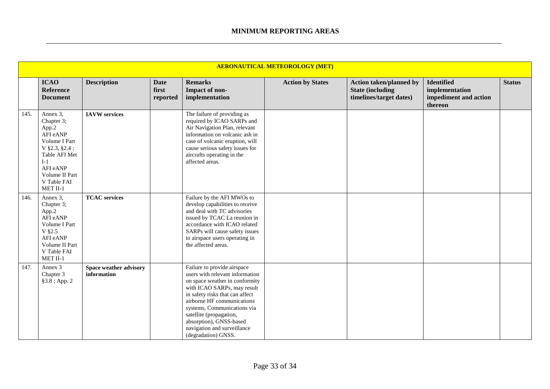|      | <b>AERONAUTICAL METEOROLOGY (MET)</b>                                                                                                                              |                                       |                                  |                                                                                                                                                                                                                                                                                                                                             |                         |                                                                                       |                                                                         |               |  |  |
|------|--------------------------------------------------------------------------------------------------------------------------------------------------------------------|---------------------------------------|----------------------------------|---------------------------------------------------------------------------------------------------------------------------------------------------------------------------------------------------------------------------------------------------------------------------------------------------------------------------------------------|-------------------------|---------------------------------------------------------------------------------------|-------------------------------------------------------------------------|---------------|--|--|
|      | <b>ICAO</b><br>Reference<br><b>Document</b>                                                                                                                        | <b>Description</b>                    | <b>Date</b><br>first<br>reported | <b>Remarks</b><br>Impact of non-<br>implementation                                                                                                                                                                                                                                                                                          | <b>Action by States</b> | <b>Action taken/planned by</b><br><b>State (including)</b><br>timelines/target dates) | <b>Identified</b><br>implementation<br>impediment and action<br>thereon | <b>Status</b> |  |  |
| 145. | Annex 3,<br>Chapter 3;<br>App.2<br>AFI eANP<br>Volume I Part<br>$V$ §2.3, §2.4;<br>Table AFI Met<br>$I-1$<br>AFI eANP<br>Volume II Part<br>V Table FAI<br>MET II-1 | <b>IAVW</b> services                  |                                  | The failure of providing as<br>required by ICAO SARPs and<br>Air Navigation Plan, relevant<br>information on volcanic ash in<br>case of volcanic eruption, will<br>cause serious safety issues for<br>aircrafts operating in the<br>affected areas.                                                                                         |                         |                                                                                       |                                                                         |               |  |  |
| 146. | Annex 3,<br>Chapter 3;<br>App.2<br>AFI eANP<br>Volume I Part<br>V §2.5<br>AFI eANP<br>Volume II Part<br>V Table FAI<br>MET II-1                                    | <b>TCAC</b> services                  |                                  | Failure by the AFI MWOs to<br>develop capabilities to receive<br>and deal with TC advisories<br>issued by TCAC La reunion in<br>accordance with ICAO related<br>SARPs will cause safety issues<br>to airspace users operating in<br>the affected areas.                                                                                     |                         |                                                                                       |                                                                         |               |  |  |
| 147. | Annex 3<br>Chapter 3<br>§3.8; App. 2                                                                                                                               | Space weather advisory<br>information |                                  | Failure to provide airspace<br>users with relevant information<br>on space weather in conformity<br>with ICAO SARPs, may result<br>in safety risks that can affect<br>airborne HF communications<br>systems, Communications via<br>satellite (propagation,<br>absorption), GNSS-based<br>navigation and surveillance<br>(degradation) GNSS. |                         |                                                                                       |                                                                         |               |  |  |